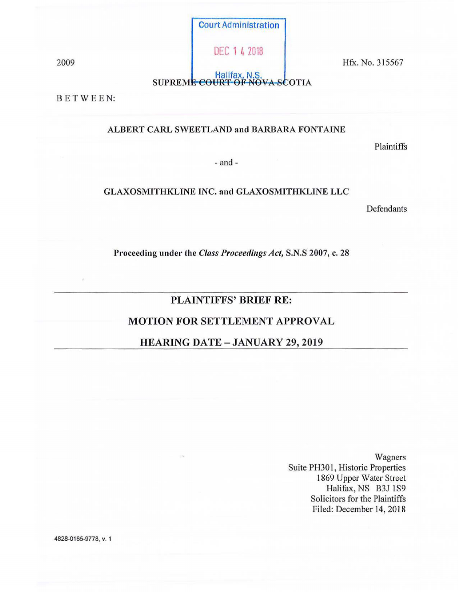Court Administration

DEC 1 4 2018

2009 **I fix.** No. 315567

SUPREME COURT OF NOVA-SCOTIA

BETWEE

# ALBERT CARL SWEETLAND and BARBARA FONTAINE

Plaintiffs

- and -

# GLAXOSMITHKLINE INC. and GLAXOSMITHKLINE LLC

Defendants

Proceeding under the *Class Proceedings Act*, S.N.S 2007, c. 28

# PLAINTIFFS' BRIEF RE:

# MOTION FOR SETTLEMENT APPROVAL

# HEARING DATE - JANUARY 29, 2019

Wagners Suite PH301, Historic Properties 1869 Upper Water Street Halifax, NS B3J 1S9 Solicitors for the Plaintiffs Filed: December 14, 2018

4828-0165-9778, V. 1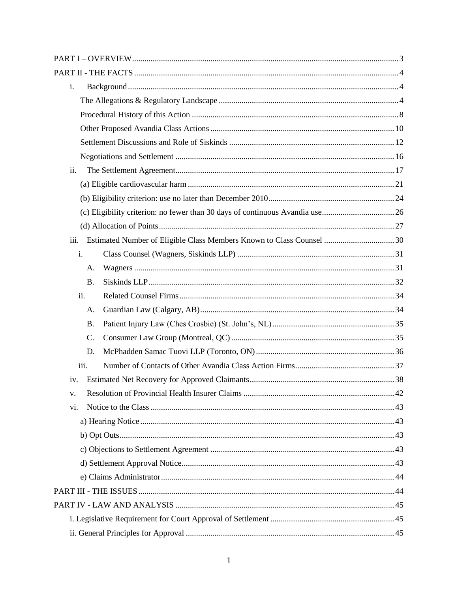| i.   |                 |                                                                       |  |
|------|-----------------|-----------------------------------------------------------------------|--|
|      |                 |                                                                       |  |
|      |                 |                                                                       |  |
|      |                 |                                                                       |  |
|      |                 |                                                                       |  |
|      |                 |                                                                       |  |
| ii.  |                 |                                                                       |  |
|      |                 |                                                                       |  |
|      |                 |                                                                       |  |
|      |                 |                                                                       |  |
|      |                 |                                                                       |  |
| iii. |                 | Estimated Number of Eligible Class Members Known to Class Counsel  30 |  |
|      | i.              |                                                                       |  |
|      | A.              |                                                                       |  |
|      | <b>B.</b>       |                                                                       |  |
|      | ii.             |                                                                       |  |
|      | А.              |                                                                       |  |
|      | <b>B.</b>       |                                                                       |  |
|      | $\mathcal{C}$ . |                                                                       |  |
|      | D.              |                                                                       |  |
|      | iii.            |                                                                       |  |
| iv.  |                 |                                                                       |  |
| V.   |                 |                                                                       |  |
| vi.  |                 |                                                                       |  |
|      |                 |                                                                       |  |
|      |                 |                                                                       |  |
|      |                 |                                                                       |  |
|      |                 |                                                                       |  |
|      |                 |                                                                       |  |
|      |                 |                                                                       |  |
|      |                 |                                                                       |  |
|      |                 |                                                                       |  |
|      |                 |                                                                       |  |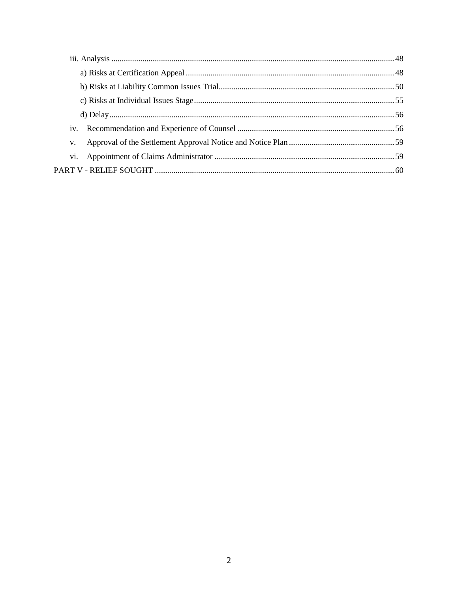| iv. |  |  |
|-----|--|--|
| V.  |  |  |
|     |  |  |
|     |  |  |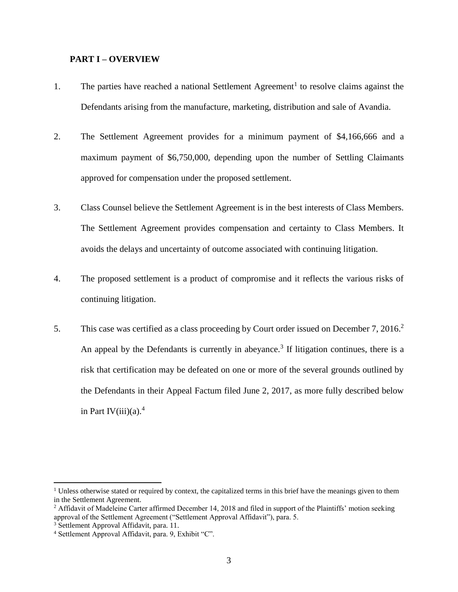#### <span id="page-3-0"></span>**PART I – OVERVIEW**

- 1. The parties have reached a national Settlement Agreement<sup>1</sup> to resolve claims against the Defendants arising from the manufacture, marketing, distribution and sale of Avandia.
- 2. The Settlement Agreement provides for a minimum payment of \$4,166,666 and a maximum payment of \$6,750,000, depending upon the number of Settling Claimants approved for compensation under the proposed settlement.
- 3. Class Counsel believe the Settlement Agreement is in the best interests of Class Members. The Settlement Agreement provides compensation and certainty to Class Members. It avoids the delays and uncertainty of outcome associated with continuing litigation.
- 4. The proposed settlement is a product of compromise and it reflects the various risks of continuing litigation.
- 5. This case was certified as a class proceeding by Court order issued on December 7, 2016.<sup>2</sup> An appeal by the Defendants is currently in abeyance.<sup>3</sup> If litigation continues, there is a risk that certification may be defeated on one or more of the several grounds outlined by the Defendants in their Appeal Factum filed June 2, 2017, as more fully described below in Part IV(iii)(a).<sup>4</sup>

<sup>&</sup>lt;sup>1</sup> Unless otherwise stated or required by context, the capitalized terms in this brief have the meanings given to them in the Settlement Agreement.

<sup>&</sup>lt;sup>2</sup> Affidavit of Madeleine Carter affirmed December 14, 2018 and filed in support of the Plaintiffs' motion seeking approval of the Settlement Agreement ("Settlement Approval Affidavit"), para. 5.

<sup>3</sup> Settlement Approval Affidavit, para. 11.

<sup>4</sup> Settlement Approval Affidavit, para. 9, Exhibit "C".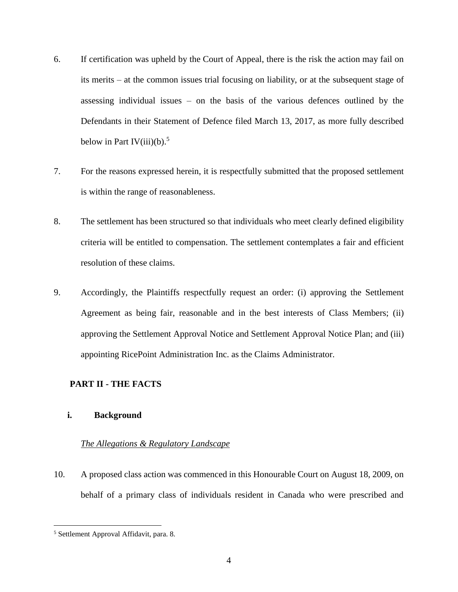- 6. If certification was upheld by the Court of Appeal, there is the risk the action may fail on its merits – at the common issues trial focusing on liability, or at the subsequent stage of assessing individual issues – on the basis of the various defences outlined by the Defendants in their Statement of Defence filed March 13, 2017, as more fully described below in Part IV(iii)(b).<sup>5</sup>
- 7. For the reasons expressed herein, it is respectfully submitted that the proposed settlement is within the range of reasonableness.
- 8. The settlement has been structured so that individuals who meet clearly defined eligibility criteria will be entitled to compensation. The settlement contemplates a fair and efficient resolution of these claims.
- 9. Accordingly, the Plaintiffs respectfully request an order: (i) approving the Settlement Agreement as being fair, reasonable and in the best interests of Class Members; (ii) approving the Settlement Approval Notice and Settlement Approval Notice Plan; and (iii) appointing RicePoint Administration Inc. as the Claims Administrator.

# <span id="page-4-0"></span>**PART II - THE FACTS**

# <span id="page-4-1"></span>**i. Background**

# <span id="page-4-2"></span>*The Allegations & Regulatory Landscape*

10. A proposed class action was commenced in this Honourable Court on August 18, 2009, on behalf of a primary class of individuals resident in Canada who were prescribed and

<sup>5</sup> Settlement Approval Affidavit, para. 8.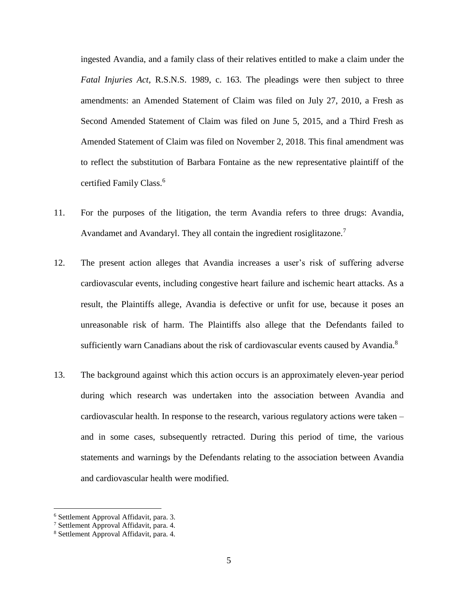ingested Avandia, and a family class of their relatives entitled to make a claim under the *Fatal Injuries Act*, R.S.N.S. 1989, c. 163. The pleadings were then subject to three amendments: an Amended Statement of Claim was filed on July 27, 2010, a Fresh as Second Amended Statement of Claim was filed on June 5, 2015, and a Third Fresh as Amended Statement of Claim was filed on November 2, 2018. This final amendment was to reflect the substitution of Barbara Fontaine as the new representative plaintiff of the certified Family Class.<sup>6</sup>

- 11. For the purposes of the litigation, the term Avandia refers to three drugs: Avandia, Avandamet and Avandaryl. They all contain the ingredient rosiglitazone.<sup>7</sup>
- 12. The present action alleges that Avandia increases a user's risk of suffering adverse cardiovascular events, including congestive heart failure and ischemic heart attacks. As a result, the Plaintiffs allege, Avandia is defective or unfit for use, because it poses an unreasonable risk of harm. The Plaintiffs also allege that the Defendants failed to sufficiently warn Canadians about the risk of cardiovascular events caused by Avandia.<sup>8</sup>
- 13. The background against which this action occurs is an approximately eleven-year period during which research was undertaken into the association between Avandia and cardiovascular health. In response to the research, various regulatory actions were taken – and in some cases, subsequently retracted. During this period of time, the various statements and warnings by the Defendants relating to the association between Avandia and cardiovascular health were modified.

<sup>6</sup> Settlement Approval Affidavit, para. 3.

<sup>7</sup> Settlement Approval Affidavit, para. 4.

<sup>8</sup> Settlement Approval Affidavit, para. 4.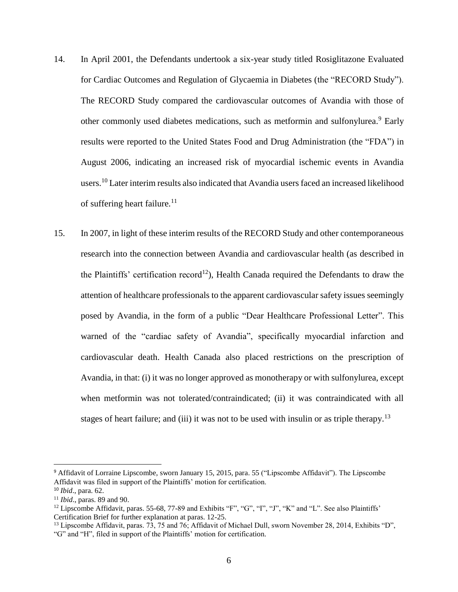- 14. In April 2001, the Defendants undertook a six-year study titled Rosiglitazone Evaluated for Cardiac Outcomes and Regulation of Glycaemia in Diabetes (the "RECORD Study"). The RECORD Study compared the cardiovascular outcomes of Avandia with those of other commonly used diabetes medications, such as metformin and sulfonylurea.<sup>9</sup> Early results were reported to the United States Food and Drug Administration (the "FDA") in August 2006, indicating an increased risk of myocardial ischemic events in Avandia users.<sup>10</sup> Later interim results also indicated that Avandia users faced an increased likelihood of suffering heart failure. $11$
- 15. In 2007, in light of these interim results of the RECORD Study and other contemporaneous research into the connection between Avandia and cardiovascular health (as described in the Plaintiffs' certification record<sup>12</sup>), Health Canada required the Defendants to draw the attention of healthcare professionals to the apparent cardiovascular safety issues seemingly posed by Avandia, in the form of a public "Dear Healthcare Professional Letter". This warned of the "cardiac safety of Avandia", specifically myocardial infarction and cardiovascular death. Health Canada also placed restrictions on the prescription of Avandia, in that: (i) it was no longer approved as monotherapy or with sulfonylurea, except when metformin was not tolerated/contraindicated; (ii) it was contraindicated with all stages of heart failure; and (iii) it was not to be used with insulin or as triple therapy.<sup>13</sup>

<sup>&</sup>lt;sup>9</sup> Affidavit of Lorraine Lipscombe, sworn January 15, 2015, para. 55 ("Lipscombe Affidavit"). The Lipscombe Affidavit was filed in support of the Plaintiffs' motion for certification.

<sup>10</sup> *Ibid*., para. 62.

<sup>11</sup> *Ibid*., paras. 89 and 90.

<sup>&</sup>lt;sup>12</sup> Lipscombe Affidavit, paras. 55-68, 77-89 and Exhibits "F", "G", "J", "K" and "L". See also Plaintiffs' Certification Brief for further explanation at paras. 12-25.

<sup>&</sup>lt;sup>13</sup> Lipscombe Affidavit, paras. 73, 75 and 76; Affidavit of Michael Dull, sworn November 28, 2014, Exhibits "D", "G" and "H", filed in support of the Plaintiffs' motion for certification.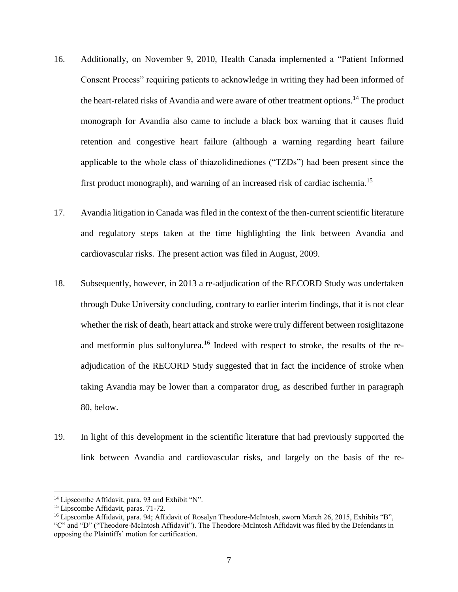- 16. Additionally, on November 9, 2010, Health Canada implemented a "Patient Informed Consent Process" requiring patients to acknowledge in writing they had been informed of the heart-related risks of Avandia and were aware of other treatment options.<sup>14</sup> The product monograph for Avandia also came to include a black box warning that it causes fluid retention and congestive heart failure (although a warning regarding heart failure applicable to the whole class of thiazolidinediones ("TZDs") had been present since the first product monograph), and warning of an increased risk of cardiac ischemia.<sup>15</sup>
- 17. Avandia litigation in Canada was filed in the context of the then-current scientific literature and regulatory steps taken at the time highlighting the link between Avandia and cardiovascular risks. The present action was filed in August, 2009.
- 18. Subsequently, however, in 2013 a re-adjudication of the RECORD Study was undertaken through Duke University concluding, contrary to earlier interim findings, that it is not clear whether the risk of death, heart attack and stroke were truly different between rosiglitazone and metformin plus sulfonylurea.<sup>16</sup> Indeed with respect to stroke, the results of the readjudication of the RECORD Study suggested that in fact the incidence of stroke when taking Avandia may be lower than a comparator drug, as described further in paragraph 80, below.
- 19. In light of this development in the scientific literature that had previously supported the link between Avandia and cardiovascular risks, and largely on the basis of the re-

l

<sup>&</sup>lt;sup>14</sup> Lipscombe Affidavit, para. 93 and Exhibit "N".

<sup>15</sup> Lipscombe Affidavit, paras. 71-72.

<sup>&</sup>lt;sup>16</sup> Lipscombe Affidavit, para. 94; Affidavit of Rosalyn Theodore-McIntosh, sworn March 26, 2015, Exhibits "B", "C" and "D" ("Theodore-McIntosh Affidavit"). The Theodore-McIntosh Affidavit was filed by the Defendants in opposing the Plaintiffs' motion for certification.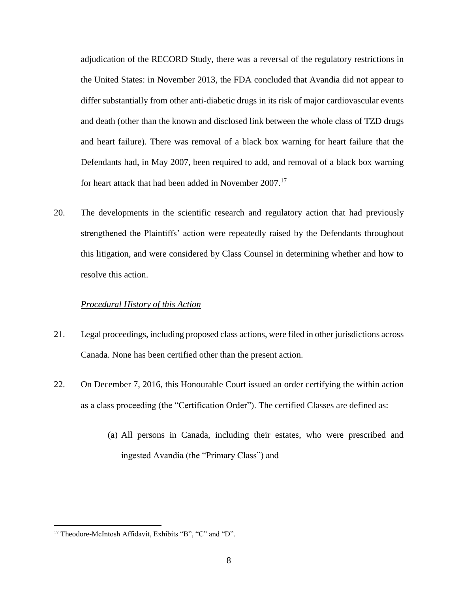adjudication of the RECORD Study, there was a reversal of the regulatory restrictions in the United States: in November 2013, the FDA concluded that Avandia did not appear to differ substantially from other anti-diabetic drugs in its risk of major cardiovascular events and death (other than the known and disclosed link between the whole class of TZD drugs and heart failure). There was removal of a black box warning for heart failure that the Defendants had, in May 2007, been required to add, and removal of a black box warning for heart attack that had been added in November 2007.<sup>17</sup>

20. The developments in the scientific research and regulatory action that had previously strengthened the Plaintiffs' action were repeatedly raised by the Defendants throughout this litigation, and were considered by Class Counsel in determining whether and how to resolve this action.

## <span id="page-8-0"></span>*Procedural History of this Action*

- 21. Legal proceedings, including proposed class actions, were filed in other jurisdictions across Canada. None has been certified other than the present action.
- 22. On December 7, 2016, this Honourable Court issued an order certifying the within action as a class proceeding (the "Certification Order"). The certified Classes are defined as:
	- (a) All persons in Canada, including their estates, who were prescribed and ingested Avandia (the "Primary Class") and

<sup>17</sup> Theodore-McIntosh Affidavit, Exhibits "B", "C" and "D".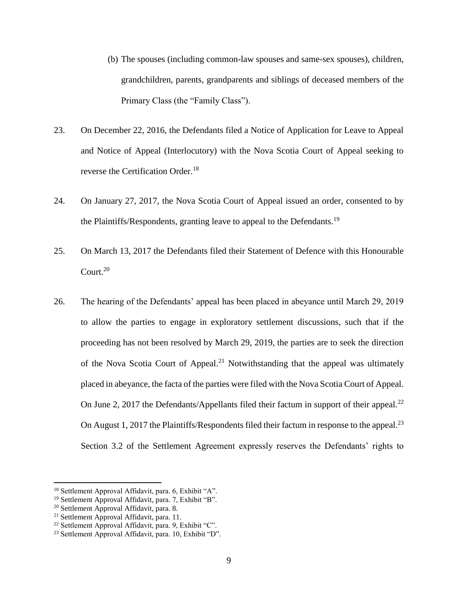- (b) The spouses (including common-law spouses and same-sex spouses), children, grandchildren, parents, grandparents and siblings of deceased members of the Primary Class (the "Family Class").
- 23. On December 22, 2016, the Defendants filed a Notice of Application for Leave to Appeal and Notice of Appeal (Interlocutory) with the Nova Scotia Court of Appeal seeking to reverse the Certification Order.<sup>18</sup>
- 24. On January 27, 2017, the Nova Scotia Court of Appeal issued an order, consented to by the Plaintiffs/Respondents, granting leave to appeal to the Defendants.<sup>19</sup>
- 25. On March 13, 2017 the Defendants filed their Statement of Defence with this Honourable Court.<sup>20</sup>
- 26. The hearing of the Defendants' appeal has been placed in abeyance until March 29, 2019 to allow the parties to engage in exploratory settlement discussions, such that if the proceeding has not been resolved by March 29, 2019, the parties are to seek the direction of the Nova Scotia Court of Appeal.<sup>21</sup> Notwithstanding that the appeal was ultimately placed in abeyance, the facta of the parties were filed with the Nova Scotia Court of Appeal. On June 2, 2017 the Defendants/Appellants filed their factum in support of their appeal.<sup>22</sup> On August 1, 2017 the Plaintiffs/Respondents filed their factum in response to the appeal.<sup>23</sup> Section 3.2 of the Settlement Agreement expressly reserves the Defendants' rights to

<sup>18</sup> Settlement Approval Affidavit, para. 6, Exhibit "A".

<sup>19</sup> Settlement Approval Affidavit, para. 7, Exhibit "B".

<sup>20</sup> Settlement Approval Affidavit, para. 8.

<sup>&</sup>lt;sup>21</sup> Settlement Approval Affidavit, para. 11.

<sup>22</sup> Settlement Approval Affidavit, para. 9, Exhibit "C".

<sup>23</sup> Settlement Approval Affidavit, para. 10, Exhibit "D".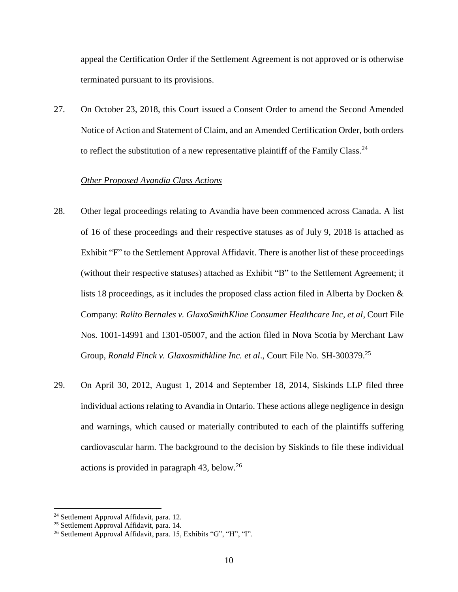appeal the Certification Order if the Settlement Agreement is not approved or is otherwise terminated pursuant to its provisions.

27. On October 23, 2018, this Court issued a Consent Order to amend the Second Amended Notice of Action and Statement of Claim, and an Amended Certification Order, both orders to reflect the substitution of a new representative plaintiff of the Family Class.<sup>24</sup>

## <span id="page-10-0"></span>*Other Proposed Avandia Class Actions*

- 28. Other legal proceedings relating to Avandia have been commenced across Canada. A list of 16 of these proceedings and their respective statuses as of July 9, 2018 is attached as Exhibit "F" to the Settlement Approval Affidavit. There is another list of these proceedings (without their respective statuses) attached as Exhibit "B" to the Settlement Agreement; it lists 18 proceedings, as it includes the proposed class action filed in Alberta by Docken & Company: *Ralito Bernales v. GlaxoSmithKline Consumer Healthcare Inc, et al*, Court File Nos. 1001-14991 and 1301-05007, and the action filed in Nova Scotia by Merchant Law Group, *Ronald Finck v. Glaxosmithkline Inc. et al*., Court File No. SH-300379.<sup>25</sup>
- 29. On April 30, 2012, August 1, 2014 and September 18, 2014, Siskinds LLP filed three individual actions relating to Avandia in Ontario. These actions allege negligence in design and warnings, which caused or materially contributed to each of the plaintiffs suffering cardiovascular harm. The background to the decision by Siskinds to file these individual actions is provided in paragraph  $43$ , below.<sup>26</sup>

<sup>24</sup> Settlement Approval Affidavit, para. 12.

<sup>&</sup>lt;sup>25</sup> Settlement Approval Affidavit, para. 14.

<sup>26</sup> Settlement Approval Affidavit, para. 15, Exhibits "G", "H", "I".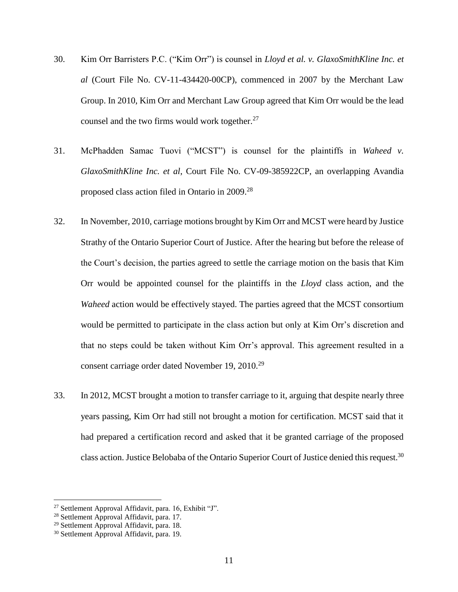- 30. Kim Orr Barristers P.C. ("Kim Orr") is counsel in *Lloyd et al. v. GlaxoSmithKline Inc. et al* (Court File No. CV-11-434420-00CP), commenced in 2007 by the Merchant Law Group. In 2010, Kim Orr and Merchant Law Group agreed that Kim Orr would be the lead counsel and the two firms would work together. $27$
- 31. McPhadden Samac Tuovi ("MCST") is counsel for the plaintiffs in *Waheed v. GlaxoSmithKline Inc. et al*, Court File No. CV-09-385922CP, an overlapping Avandia proposed class action filed in Ontario in 2009.<sup>28</sup>
- 32. In November, 2010, carriage motions brought by Kim Orr and MCST were heard by Justice Strathy of the Ontario Superior Court of Justice. After the hearing but before the release of the Court's decision, the parties agreed to settle the carriage motion on the basis that Kim Orr would be appointed counsel for the plaintiffs in the *Lloyd* class action, and the *Waheed* action would be effectively stayed. The parties agreed that the MCST consortium would be permitted to participate in the class action but only at Kim Orr's discretion and that no steps could be taken without Kim Orr's approval. This agreement resulted in a consent carriage order dated November 19, 2010.<sup>29</sup>
- 33. In 2012, MCST brought a motion to transfer carriage to it, arguing that despite nearly three years passing, Kim Orr had still not brought a motion for certification. MCST said that it had prepared a certification record and asked that it be granted carriage of the proposed class action. Justice Belobaba of the Ontario Superior Court of Justice denied this request.<sup>30</sup>

 $27$  Settlement Approval Affidavit, para. 16, Exhibit "J".

<sup>28</sup> Settlement Approval Affidavit, para. 17.

<sup>29</sup> Settlement Approval Affidavit, para. 18.

<sup>30</sup> Settlement Approval Affidavit, para. 19.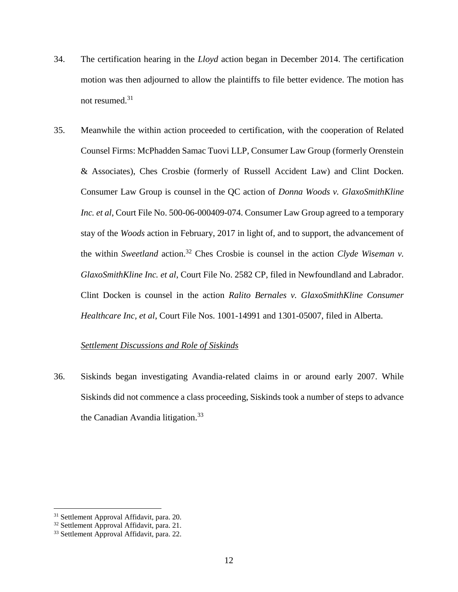- 34. The certification hearing in the *Lloyd* action began in December 2014. The certification motion was then adjourned to allow the plaintiffs to file better evidence. The motion has not resumed.<sup>31</sup>
- 35. Meanwhile the within action proceeded to certification, with the cooperation of Related Counsel Firms: McPhadden Samac Tuovi LLP, Consumer Law Group (formerly Orenstein & Associates), Ches Crosbie (formerly of Russell Accident Law) and Clint Docken. Consumer Law Group is counsel in the QC action of *Donna Woods v. GlaxoSmithKline Inc. et al*, Court File No. 500-06-000409-074. Consumer Law Group agreed to a temporary stay of the *Woods* action in February, 2017 in light of, and to support, the advancement of the within *Sweetland* action.<sup>32</sup> Ches Crosbie is counsel in the action *Clyde Wiseman v*. *GlaxoSmithKline Inc. et al*, Court File No. 2582 CP, filed in Newfoundland and Labrador. Clint Docken is counsel in the action *Ralito Bernales v. GlaxoSmithKline Consumer Healthcare Inc, et al*, Court File Nos. 1001-14991 and 1301-05007, filed in Alberta.

## <span id="page-12-0"></span>*Settlement Discussions and Role of Siskinds*

36. Siskinds began investigating Avandia-related claims in or around early 2007. While Siskinds did not commence a class proceeding, Siskinds took a number of steps to advance the Canadian Avandia litigation.<sup>33</sup>

<sup>31</sup> Settlement Approval Affidavit, para. 20.

<sup>&</sup>lt;sup>32</sup> Settlement Approval Affidavit, para. 21.

<sup>33</sup> Settlement Approval Affidavit, para. 22.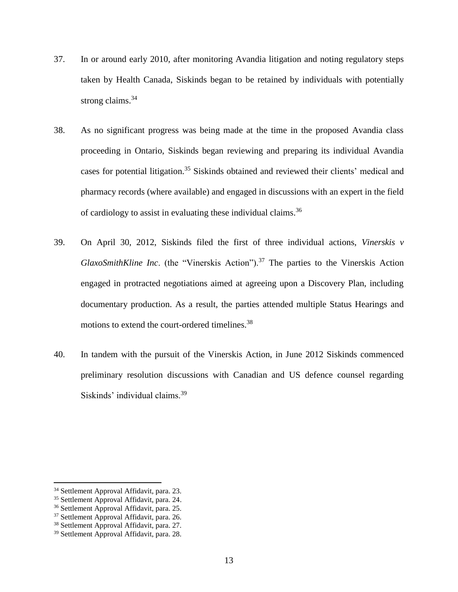- 37. In or around early 2010, after monitoring Avandia litigation and noting regulatory steps taken by Health Canada, Siskinds began to be retained by individuals with potentially strong claims.<sup>34</sup>
- 38. As no significant progress was being made at the time in the proposed Avandia class proceeding in Ontario, Siskinds began reviewing and preparing its individual Avandia cases for potential litigation.<sup>35</sup> Siskinds obtained and reviewed their clients' medical and pharmacy records (where available) and engaged in discussions with an expert in the field of cardiology to assist in evaluating these individual claims.<sup>36</sup>
- 39. On April 30, 2012, Siskinds filed the first of three individual actions, *Vinerskis v GlaxoSmithKline Inc.* (the "Vinerskis Action").<sup>37</sup> The parties to the Vinerskis Action engaged in protracted negotiations aimed at agreeing upon a Discovery Plan, including documentary production. As a result, the parties attended multiple Status Hearings and motions to extend the court-ordered timelines.<sup>38</sup>
- 40. In tandem with the pursuit of the Vinerskis Action, in June 2012 Siskinds commenced preliminary resolution discussions with Canadian and US defence counsel regarding Siskinds' individual claims.<sup>39</sup>

<sup>&</sup>lt;sup>34</sup> Settlement Approval Affidavit, para. 23.

<sup>35</sup> Settlement Approval Affidavit, para. 24.

<sup>36</sup> Settlement Approval Affidavit, para. 25.

<sup>&</sup>lt;sup>37</sup> Settlement Approval Affidavit, para. 26.

<sup>38</sup> Settlement Approval Affidavit, para. 27.

<sup>39</sup> Settlement Approval Affidavit, para. 28.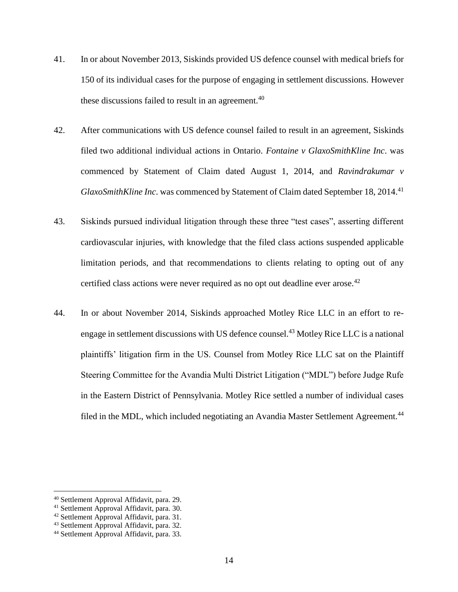- 41. In or about November 2013, Siskinds provided US defence counsel with medical briefs for 150 of its individual cases for the purpose of engaging in settlement discussions. However these discussions failed to result in an agreement. $40$
- 42. After communications with US defence counsel failed to result in an agreement, Siskinds filed two additional individual actions in Ontario. *Fontaine v GlaxoSmithKline Inc*. was commenced by Statement of Claim dated August 1, 2014, and *Ravindrakumar v GlaxoSmithKline Inc.* was commenced by Statement of Claim dated September 18, 2014.<sup>41</sup>
- 43. Siskinds pursued individual litigation through these three "test cases", asserting different cardiovascular injuries, with knowledge that the filed class actions suspended applicable limitation periods, and that recommendations to clients relating to opting out of any certified class actions were never required as no opt out deadline ever arose.<sup>42</sup>
- 44. In or about November 2014, Siskinds approached Motley Rice LLC in an effort to reengage in settlement discussions with US defence counsel.<sup>43</sup> Motley Rice LLC is a national plaintiffs' litigation firm in the US. Counsel from Motley Rice LLC sat on the Plaintiff Steering Committee for the Avandia Multi District Litigation ("MDL") before Judge Rufe in the Eastern District of Pennsylvania. Motley Rice settled a number of individual cases filed in the MDL, which included negotiating an Avandia Master Settlement Agreement.<sup>44</sup>

l

<sup>40</sup> Settlement Approval Affidavit, para. 29.

<sup>41</sup> Settlement Approval Affidavit, para. 30.

<sup>42</sup> Settlement Approval Affidavit, para. 31.

<sup>43</sup> Settlement Approval Affidavit, para. 32.

<sup>44</sup> Settlement Approval Affidavit, para. 33.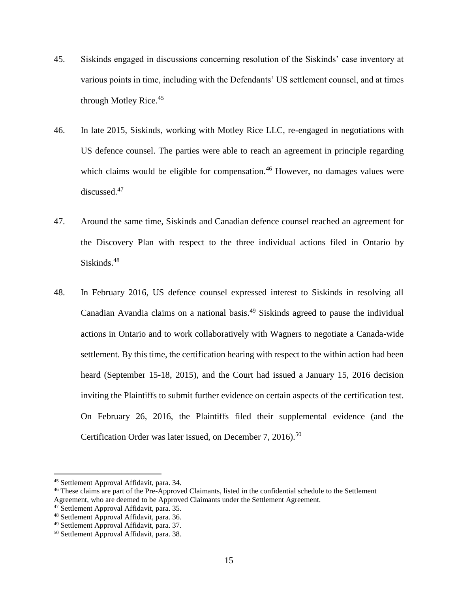- 45. Siskinds engaged in discussions concerning resolution of the Siskinds' case inventory at various points in time, including with the Defendants' US settlement counsel, and at times through Motley Rice.<sup>45</sup>
- 46. In late 2015, Siskinds, working with Motley Rice LLC, re-engaged in negotiations with US defence counsel. The parties were able to reach an agreement in principle regarding which claims would be eligible for compensation.<sup>46</sup> However, no damages values were discussed.<sup>47</sup>
- 47. Around the same time, Siskinds and Canadian defence counsel reached an agreement for the Discovery Plan with respect to the three individual actions filed in Ontario by Siskinds.<sup>48</sup>
- 48. In February 2016, US defence counsel expressed interest to Siskinds in resolving all Canadian Avandia claims on a national basis.<sup>49</sup> Siskinds agreed to pause the individual actions in Ontario and to work collaboratively with Wagners to negotiate a Canada-wide settlement. By this time, the certification hearing with respect to the within action had been heard (September 15-18, 2015), and the Court had issued a January 15, 2016 decision inviting the Plaintiffs to submit further evidence on certain aspects of the certification test. On February 26, 2016, the Plaintiffs filed their supplemental evidence (and the Certification Order was later issued, on December 7, 2016).<sup>50</sup>

<sup>45</sup> Settlement Approval Affidavit, para. 34.

<sup>46</sup> These claims are part of the Pre-Approved Claimants, listed in the confidential schedule to the Settlement Agreement, who are deemed to be Approved Claimants under the Settlement Agreement.

<sup>47</sup> Settlement Approval Affidavit, para. 35.

<sup>48</sup> Settlement Approval Affidavit, para. 36.

<sup>49</sup> Settlement Approval Affidavit, para. 37.

<sup>50</sup> Settlement Approval Affidavit, para. 38.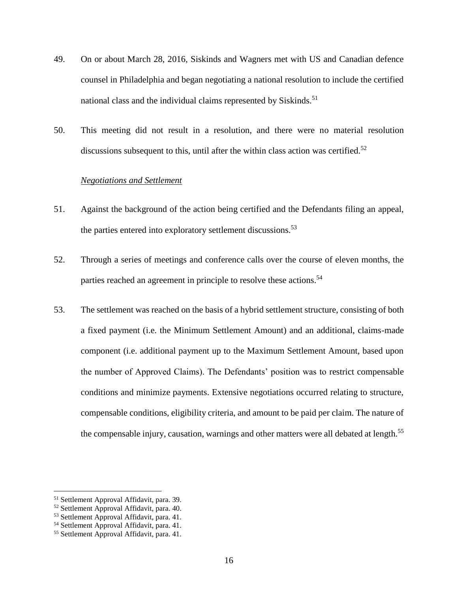- 49. On or about March 28, 2016, Siskinds and Wagners met with US and Canadian defence counsel in Philadelphia and began negotiating a national resolution to include the certified national class and the individual claims represented by Siskinds.<sup>51</sup>
- 50. This meeting did not result in a resolution, and there were no material resolution discussions subsequent to this, until after the within class action was certified.<sup>52</sup>

#### <span id="page-16-0"></span>*Negotiations and Settlement*

- 51. Against the background of the action being certified and the Defendants filing an appeal, the parties entered into exploratory settlement discussions.<sup>53</sup>
- 52. Through a series of meetings and conference calls over the course of eleven months, the parties reached an agreement in principle to resolve these actions.<sup>54</sup>
- 53. The settlement was reached on the basis of a hybrid settlement structure, consisting of both a fixed payment (i.e. the Minimum Settlement Amount) and an additional, claims-made component (i.e. additional payment up to the Maximum Settlement Amount, based upon the number of Approved Claims). The Defendants' position was to restrict compensable conditions and minimize payments. Extensive negotiations occurred relating to structure, compensable conditions, eligibility criteria, and amount to be paid per claim. The nature of the compensable injury, causation, warnings and other matters were all debated at length.<sup>55</sup>

l

<sup>51</sup> Settlement Approval Affidavit, para. 39.

<sup>52</sup> Settlement Approval Affidavit, para. 40.

<sup>53</sup> Settlement Approval Affidavit, para. 41.

<sup>54</sup> Settlement Approval Affidavit, para. 41.

<sup>55</sup> Settlement Approval Affidavit, para. 41.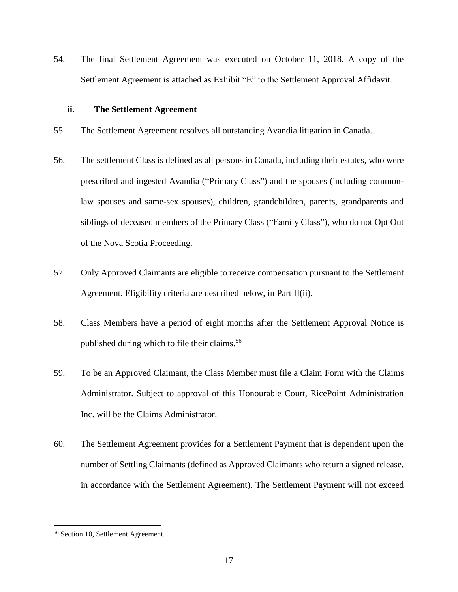54. The final Settlement Agreement was executed on October 11, 2018. A copy of the Settlement Agreement is attached as Exhibit "E" to the Settlement Approval Affidavit.

#### <span id="page-17-0"></span>**ii. The Settlement Agreement**

- 55. The Settlement Agreement resolves all outstanding Avandia litigation in Canada.
- 56. The settlement Class is defined as all persons in Canada, including their estates, who were prescribed and ingested Avandia ("Primary Class") and the spouses (including commonlaw spouses and same-sex spouses), children, grandchildren, parents, grandparents and siblings of deceased members of the Primary Class ("Family Class"), who do not Opt Out of the Nova Scotia Proceeding.
- 57. Only Approved Claimants are eligible to receive compensation pursuant to the Settlement Agreement. Eligibility criteria are described below, in Part II(ii).
- 58. Class Members have a period of eight months after the Settlement Approval Notice is published during which to file their claims.<sup>56</sup>
- 59. To be an Approved Claimant, the Class Member must file a Claim Form with the Claims Administrator. Subject to approval of this Honourable Court, RicePoint Administration Inc. will be the Claims Administrator.
- 60. The Settlement Agreement provides for a Settlement Payment that is dependent upon the number of Settling Claimants (defined as Approved Claimants who return a signed release, in accordance with the Settlement Agreement). The Settlement Payment will not exceed

<sup>56</sup> Section 10, Settlement Agreement.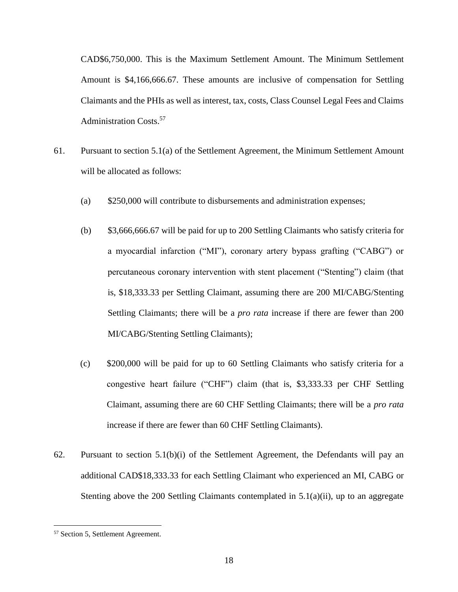CAD\$6,750,000. This is the Maximum Settlement Amount. The Minimum Settlement Amount is \$4,166,666.67. These amounts are inclusive of compensation for Settling Claimants and the PHIs as well as interest, tax, costs, Class Counsel Legal Fees and Claims Administration Costs.<sup>57</sup>

- 61. Pursuant to section 5.1(a) of the Settlement Agreement, the Minimum Settlement Amount will be allocated as follows:
	- (a) \$250,000 will contribute to disbursements and administration expenses;
	- (b) \$3,666,666.67 will be paid for up to 200 Settling Claimants who satisfy criteria for a myocardial infarction ("MI"), coronary artery bypass grafting ("CABG") or percutaneous coronary intervention with stent placement ("Stenting") claim (that is, \$18,333.33 per Settling Claimant, assuming there are 200 MI/CABG/Stenting Settling Claimants; there will be a *pro rata* increase if there are fewer than 200 MI/CABG/Stenting Settling Claimants);
	- (c) \$200,000 will be paid for up to 60 Settling Claimants who satisfy criteria for a congestive heart failure ("CHF") claim (that is, \$3,333.33 per CHF Settling Claimant, assuming there are 60 CHF Settling Claimants; there will be a *pro rata* increase if there are fewer than 60 CHF Settling Claimants).
- 62. Pursuant to section  $5.1(b)(i)$  of the Settlement Agreement, the Defendants will pay an additional CAD\$18,333.33 for each Settling Claimant who experienced an MI, CABG or Stenting above the 200 Settling Claimants contemplated in  $5.1(a)(ii)$ , up to an aggregate

<sup>57</sup> Section 5, Settlement Agreement.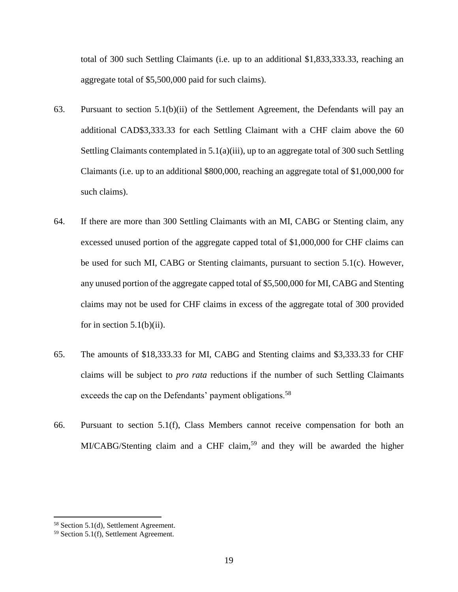total of 300 such Settling Claimants (i.e. up to an additional \$1,833,333.33, reaching an aggregate total of \$5,500,000 paid for such claims).

- 63. Pursuant to section 5.1(b)(ii) of the Settlement Agreement, the Defendants will pay an additional CAD\$3,333.33 for each Settling Claimant with a CHF claim above the 60 Settling Claimants contemplated in 5.1(a)(iii), up to an aggregate total of 300 such Settling Claimants (i.e. up to an additional \$800,000, reaching an aggregate total of \$1,000,000 for such claims).
- 64. If there are more than 300 Settling Claimants with an MI, CABG or Stenting claim, any excessed unused portion of the aggregate capped total of \$1,000,000 for CHF claims can be used for such MI, CABG or Stenting claimants, pursuant to section 5.1(c). However, any unused portion of the aggregate capped total of \$5,500,000 for MI, CABG and Stenting claims may not be used for CHF claims in excess of the aggregate total of 300 provided for in section  $5.1(b)(ii)$ .
- 65. The amounts of \$18,333.33 for MI, CABG and Stenting claims and \$3,333.33 for CHF claims will be subject to *pro rata* reductions if the number of such Settling Claimants exceeds the cap on the Defendants' payment obligations.<sup>58</sup>
- 66. Pursuant to section 5.1(f), Class Members cannot receive compensation for both an MI/CABG/Stenting claim and a CHF claim,<sup>59</sup> and they will be awarded the higher

<sup>58</sup> Section 5.1(d), Settlement Agreement.

<sup>59</sup> Section 5.1(f), Settlement Agreement.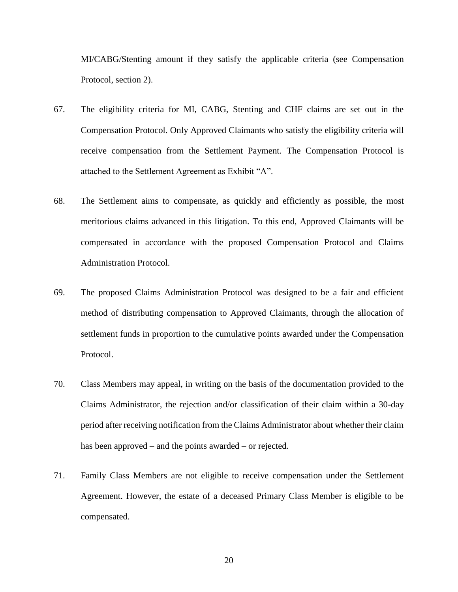MI/CABG/Stenting amount if they satisfy the applicable criteria (see Compensation Protocol, section 2).

- 67. The eligibility criteria for MI, CABG, Stenting and CHF claims are set out in the Compensation Protocol. Only Approved Claimants who satisfy the eligibility criteria will receive compensation from the Settlement Payment. The Compensation Protocol is attached to the Settlement Agreement as Exhibit "A".
- 68. The Settlement aims to compensate, as quickly and efficiently as possible, the most meritorious claims advanced in this litigation. To this end, Approved Claimants will be compensated in accordance with the proposed Compensation Protocol and Claims Administration Protocol.
- 69. The proposed Claims Administration Protocol was designed to be a fair and efficient method of distributing compensation to Approved Claimants, through the allocation of settlement funds in proportion to the cumulative points awarded under the Compensation Protocol.
- 70. Class Members may appeal, in writing on the basis of the documentation provided to the Claims Administrator, the rejection and/or classification of their claim within a 30-day period after receiving notification from the Claims Administrator about whether their claim has been approved – and the points awarded – or rejected.
- 71. Family Class Members are not eligible to receive compensation under the Settlement Agreement. However, the estate of a deceased Primary Class Member is eligible to be compensated.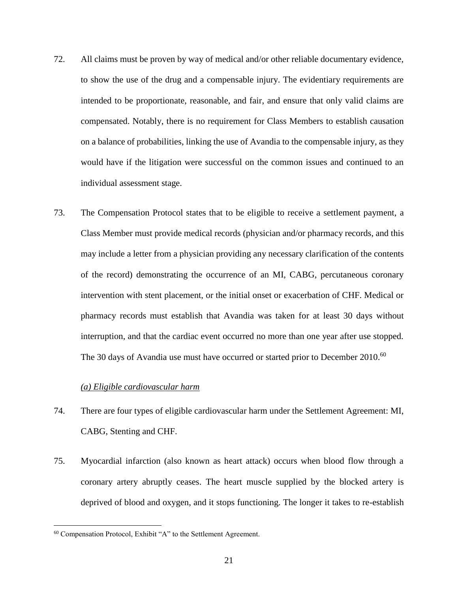- 72. All claims must be proven by way of medical and/or other reliable documentary evidence, to show the use of the drug and a compensable injury. The evidentiary requirements are intended to be proportionate, reasonable, and fair, and ensure that only valid claims are compensated. Notably, there is no requirement for Class Members to establish causation on a balance of probabilities, linking the use of Avandia to the compensable injury, as they would have if the litigation were successful on the common issues and continued to an individual assessment stage.
- 73. The Compensation Protocol states that to be eligible to receive a settlement payment, a Class Member must provide medical records (physician and/or pharmacy records, and this may include a letter from a physician providing any necessary clarification of the contents of the record) demonstrating the occurrence of an MI, CABG, percutaneous coronary intervention with stent placement, or the initial onset or exacerbation of CHF. Medical or pharmacy records must establish that Avandia was taken for at least 30 days without interruption, and that the cardiac event occurred no more than one year after use stopped. The 30 days of Avandia use must have occurred or started prior to December 2010.<sup>60</sup>

## *(a) Eligible cardiovascular harm*

- <span id="page-21-0"></span>74. There are four types of eligible cardiovascular harm under the Settlement Agreement: MI, CABG, Stenting and CHF.
- 75. Myocardial infarction (also known as heart attack) occurs when blood flow through a coronary artery abruptly ceases. The heart muscle supplied by the blocked artery is deprived of blood and oxygen, and it stops functioning. The longer it takes to re-establish

<sup>60</sup> Compensation Protocol, Exhibit "A" to the Settlement Agreement.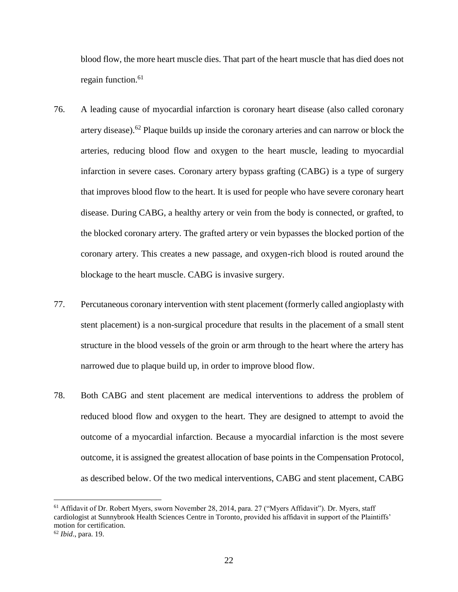blood flow, the more heart muscle dies. That part of the heart muscle that has died does not regain function.<sup>61</sup>

- 76. A leading cause of myocardial infarction is coronary heart disease (also called coronary artery disease).<sup>62</sup> Plaque builds up inside the coronary arteries and can narrow or block the arteries, reducing blood flow and oxygen to the heart muscle, leading to myocardial infarction in severe cases. Coronary artery bypass grafting (CABG) is a type of surgery that improves blood flow to the heart. It is used for people who have severe coronary heart disease. During CABG, a healthy artery or vein from the body is connected, or grafted, to the blocked coronary artery. The grafted artery or vein bypasses the blocked portion of the coronary artery. This creates a new passage, and oxygen-rich blood is routed around the blockage to the heart muscle. CABG is invasive surgery.
- 77. Percutaneous coronary intervention with stent placement (formerly called angioplasty with stent placement) is a non-surgical procedure that results in the placement of a small stent structure in the blood vessels of the groin or arm through to the heart where the artery has narrowed due to plaque build up, in order to improve blood flow.
- 78. Both CABG and stent placement are medical interventions to address the problem of reduced blood flow and oxygen to the heart. They are designed to attempt to avoid the outcome of a myocardial infarction. Because a myocardial infarction is the most severe outcome, it is assigned the greatest allocation of base points in the Compensation Protocol, as described below. Of the two medical interventions, CABG and stent placement, CABG

<sup>&</sup>lt;sup>61</sup> Affidavit of Dr. Robert Myers, sworn November 28, 2014, para. 27 ("Myers Affidavit"). Dr. Myers, staff cardiologist at Sunnybrook Health Sciences Centre in Toronto, provided his affidavit in support of the Plaintiffs' motion for certification.

<sup>62</sup> *Ibid*., para. 19.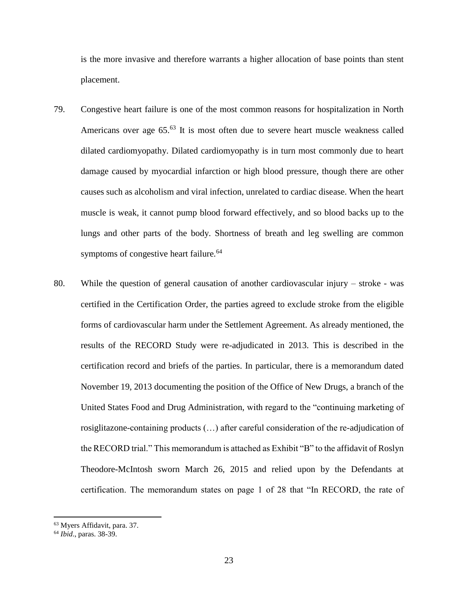is the more invasive and therefore warrants a higher allocation of base points than stent placement.

- 79. Congestive heart failure is one of the most common reasons for hospitalization in North Americans over age  $65<sup>63</sup>$  It is most often due to severe heart muscle weakness called dilated cardiomyopathy. Dilated cardiomyopathy is in turn most commonly due to heart damage caused by myocardial infarction or high blood pressure, though there are other causes such as alcoholism and viral infection, unrelated to cardiac disease. When the heart muscle is weak, it cannot pump blood forward effectively, and so blood backs up to the lungs and other parts of the body. Shortness of breath and leg swelling are common symptoms of congestive heart failure.<sup>64</sup>
- 80. While the question of general causation of another cardiovascular injury stroke was certified in the Certification Order, the parties agreed to exclude stroke from the eligible forms of cardiovascular harm under the Settlement Agreement. As already mentioned, the results of the RECORD Study were re-adjudicated in 2013. This is described in the certification record and briefs of the parties. In particular, there is a memorandum dated November 19, 2013 documenting the position of the Office of New Drugs, a branch of the United States Food and Drug Administration, with regard to the "continuing marketing of rosiglitazone-containing products (…) after careful consideration of the re-adjudication of the RECORD trial." This memorandum is attached as Exhibit "B" to the affidavit of Roslyn Theodore-McIntosh sworn March 26, 2015 and relied upon by the Defendants at certification. The memorandum states on page 1 of 28 that "In RECORD, the rate of

<sup>63</sup> Myers Affidavit, para. 37.

<sup>64</sup> *Ibid*., paras. 38-39.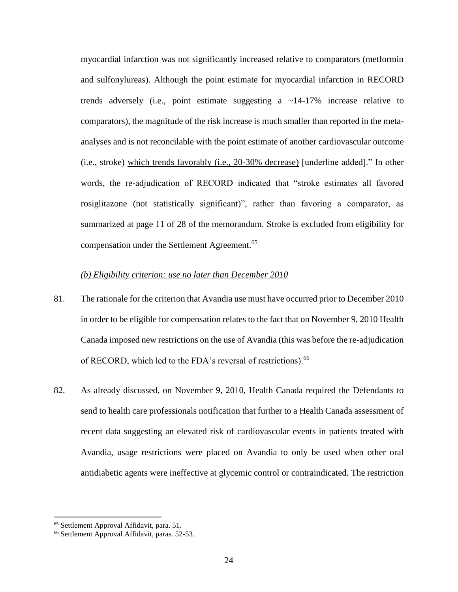myocardial infarction was not significantly increased relative to comparators (metformin and sulfonylureas). Although the point estimate for myocardial infarction in RECORD trends adversely (i.e., point estimate suggesting a  $\sim$ 14-17% increase relative to comparators), the magnitude of the risk increase is much smaller than reported in the metaanalyses and is not reconcilable with the point estimate of another cardiovascular outcome (i.e., stroke) which trends favorably (i.e., 20-30% decrease) [underline added]." In other words, the re-adjudication of RECORD indicated that "stroke estimates all favored rosiglitazone (not statistically significant)", rather than favoring a comparator, as summarized at page 11 of 28 of the memorandum. Stroke is excluded from eligibility for compensation under the Settlement Agreement.<sup>65</sup>

#### *(b) Eligibility criterion: use no later than December 2010*

- <span id="page-24-0"></span>81. The rationale for the criterion that Avandia use must have occurred prior to December 2010 in order to be eligible for compensation relates to the fact that on November 9, 2010 Health Canada imposed new restrictions on the use of Avandia (this was before the re-adjudication of RECORD, which led to the FDA's reversal of restrictions).<sup>66</sup>
- 82. As already discussed, on November 9, 2010, Health Canada required the Defendants to send to health care professionals notification that further to a Health Canada assessment of recent data suggesting an elevated risk of cardiovascular events in patients treated with Avandia, usage restrictions were placed on Avandia to only be used when other oral antidiabetic agents were ineffective at glycemic control or contraindicated. The restriction

<sup>65</sup> Settlement Approval Affidavit, para. 51.

<sup>66</sup> Settlement Approval Affidavit, paras. 52-53.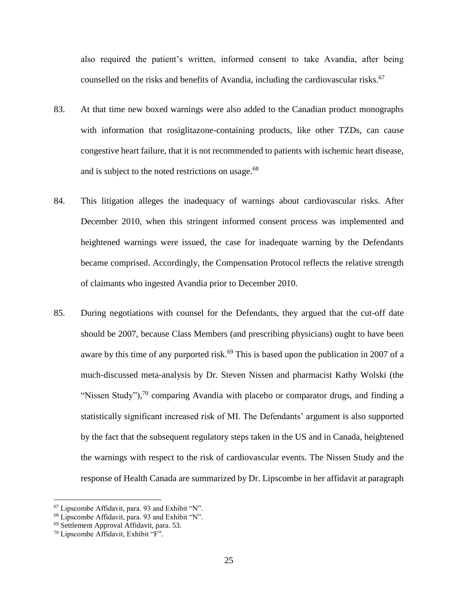also required the patient's written, informed consent to take Avandia, after being counselled on the risks and benefits of Avandia, including the cardiovascular risks.<sup>67</sup>

- 83. At that time new boxed warnings were also added to the Canadian product monographs with information that rosiglitazone-containing products, like other TZDs, can cause congestive heart failure, that it is not recommended to patients with ischemic heart disease, and is subject to the noted restrictions on usage.<sup>68</sup>
- 84. This litigation alleges the inadequacy of warnings about cardiovascular risks. After December 2010, when this stringent informed consent process was implemented and heightened warnings were issued, the case for inadequate warning by the Defendants became comprised. Accordingly, the Compensation Protocol reflects the relative strength of claimants who ingested Avandia prior to December 2010.
- 85. During negotiations with counsel for the Defendants, they argued that the cut-off date should be 2007, because Class Members (and prescribing physicians) ought to have been aware by this time of any purported risk.<sup>69</sup> This is based upon the publication in 2007 of a much-discussed meta-analysis by Dr. Steven Nissen and pharmacist Kathy Wolski (the "Nissen Study"), $70$  comparing Avandia with placebo or comparator drugs, and finding a statistically significant increased risk of MI. The Defendants' argument is also supported by the fact that the subsequent regulatory steps taken in the US and in Canada, heightened the warnings with respect to the risk of cardiovascular events. The Nissen Study and the response of Health Canada are summarized by Dr. Lipscombe in her affidavit at paragraph

 $67$  Lipscombe Affidavit, para. 93 and Exhibit "N".

<sup>68</sup> Lipscombe Affidavit, para. 93 and Exhibit "N".

<sup>69</sup> Settlement Approval Affidavit, para. 53.

<sup>70</sup> Lipscombe Affidavit, Exhibit "F".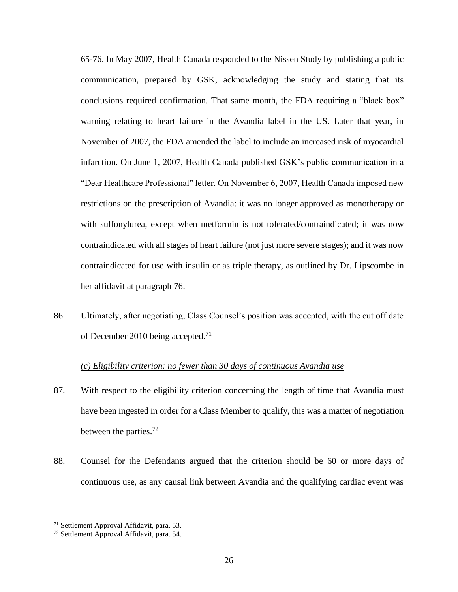65-76. In May 2007, Health Canada responded to the Nissen Study by publishing a public communication, prepared by GSK, acknowledging the study and stating that its conclusions required confirmation. That same month, the FDA requiring a "black box" warning relating to heart failure in the Avandia label in the US. Later that year, in November of 2007, the FDA amended the label to include an increased risk of myocardial infarction. On June 1, 2007, Health Canada published GSK's public communication in a "Dear Healthcare Professional" letter. On November 6, 2007, Health Canada imposed new restrictions on the prescription of Avandia: it was no longer approved as monotherapy or with sulfonylurea, except when metformin is not tolerated/contraindicated; it was now contraindicated with all stages of heart failure (not just more severe stages); and it was now contraindicated for use with insulin or as triple therapy, as outlined by Dr. Lipscombe in her affidavit at paragraph 76.

86. Ultimately, after negotiating, Class Counsel's position was accepted, with the cut off date of December 2010 being accepted.<sup>71</sup>

# *(c) Eligibility criterion: no fewer than 30 days of continuous Avandia use*

- <span id="page-26-0"></span>87. With respect to the eligibility criterion concerning the length of time that Avandia must have been ingested in order for a Class Member to qualify, this was a matter of negotiation between the parties.<sup>72</sup>
- 88. Counsel for the Defendants argued that the criterion should be 60 or more days of continuous use, as any causal link between Avandia and the qualifying cardiac event was

<sup>71</sup> Settlement Approval Affidavit, para. 53.

<sup>72</sup> Settlement Approval Affidavit, para. 54.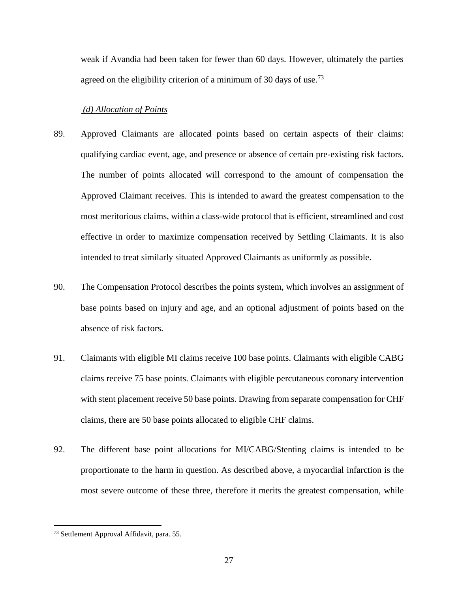weak if Avandia had been taken for fewer than 60 days. However, ultimately the parties agreed on the eligibility criterion of a minimum of 30 days of use.<sup>73</sup>

#### <span id="page-27-0"></span>*(d) Allocation of Points*

- 89. Approved Claimants are allocated points based on certain aspects of their claims: qualifying cardiac event, age, and presence or absence of certain pre-existing risk factors. The number of points allocated will correspond to the amount of compensation the Approved Claimant receives. This is intended to award the greatest compensation to the most meritorious claims, within a class-wide protocol that is efficient, streamlined and cost effective in order to maximize compensation received by Settling Claimants. It is also intended to treat similarly situated Approved Claimants as uniformly as possible.
- 90. The Compensation Protocol describes the points system, which involves an assignment of base points based on injury and age, and an optional adjustment of points based on the absence of risk factors.
- 91. Claimants with eligible MI claims receive 100 base points. Claimants with eligible CABG claims receive 75 base points. Claimants with eligible percutaneous coronary intervention with stent placement receive 50 base points. Drawing from separate compensation for CHF claims, there are 50 base points allocated to eligible CHF claims.
- 92. The different base point allocations for MI/CABG/Stenting claims is intended to be proportionate to the harm in question. As described above, a myocardial infarction is the most severe outcome of these three, therefore it merits the greatest compensation, while

<sup>73</sup> Settlement Approval Affidavit, para. 55.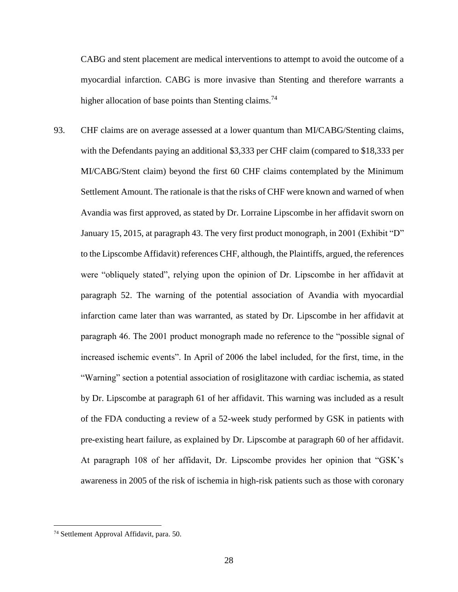CABG and stent placement are medical interventions to attempt to avoid the outcome of a myocardial infarction. CABG is more invasive than Stenting and therefore warrants a higher allocation of base points than Stenting claims.<sup>74</sup>

93. CHF claims are on average assessed at a lower quantum than MI/CABG/Stenting claims, with the Defendants paying an additional \$3,333 per CHF claim (compared to \$18,333 per MI/CABG/Stent claim) beyond the first 60 CHF claims contemplated by the Minimum Settlement Amount. The rationale is that the risks of CHF were known and warned of when Avandia was first approved, as stated by Dr. Lorraine Lipscombe in her affidavit sworn on January 15, 2015, at paragraph 43. The very first product monograph, in 2001 (Exhibit "D" to the Lipscombe Affidavit) references CHF, although, the Plaintiffs, argued, the references were "obliquely stated", relying upon the opinion of Dr. Lipscombe in her affidavit at paragraph 52. The warning of the potential association of Avandia with myocardial infarction came later than was warranted, as stated by Dr. Lipscombe in her affidavit at paragraph 46. The 2001 product monograph made no reference to the "possible signal of increased ischemic events". In April of 2006 the label included, for the first, time, in the "Warning" section a potential association of rosiglitazone with cardiac ischemia, as stated by Dr. Lipscombe at paragraph 61 of her affidavit. This warning was included as a result of the FDA conducting a review of a 52-week study performed by GSK in patients with pre-existing heart failure, as explained by Dr. Lipscombe at paragraph 60 of her affidavit. At paragraph 108 of her affidavit, Dr. Lipscombe provides her opinion that "GSK's awareness in 2005 of the risk of ischemia in high-risk patients such as those with coronary

<sup>74</sup> Settlement Approval Affidavit, para. 50.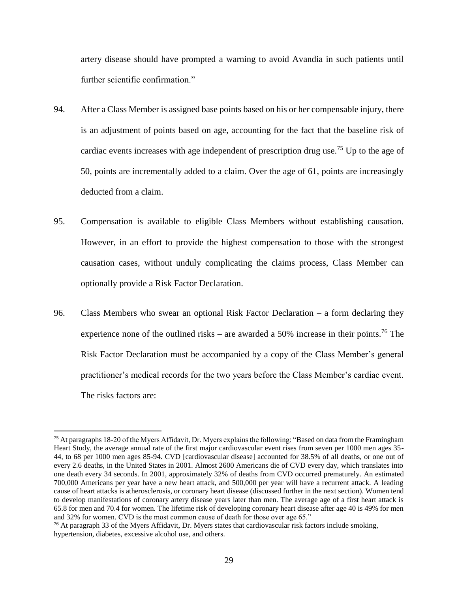artery disease should have prompted a warning to avoid Avandia in such patients until further scientific confirmation."

- 94. After a Class Member is assigned base points based on his or her compensable injury, there is an adjustment of points based on age, accounting for the fact that the baseline risk of cardiac events increases with age independent of prescription drug use.<sup>75</sup> Up to the age of 50, points are incrementally added to a claim. Over the age of 61, points are increasingly deducted from a claim.
- 95. Compensation is available to eligible Class Members without establishing causation. However, in an effort to provide the highest compensation to those with the strongest causation cases, without unduly complicating the claims process, Class Member can optionally provide a Risk Factor Declaration.
- 96. Class Members who swear an optional Risk Factor Declaration a form declaring they experience none of the outlined risks – are awarded a 50% increase in their points.<sup>76</sup> The Risk Factor Declaration must be accompanied by a copy of the Class Member's general practitioner's medical records for the two years before the Class Member's cardiac event. The risks factors are:

<sup>&</sup>lt;sup>75</sup> At paragraphs 18-20 of the Myers Affidavit, Dr. Myers explains the following: "Based on data from the Framingham Heart Study, the average annual rate of the first major cardiovascular event rises from seven per 1000 men ages 35- 44, to 68 per 1000 men ages 85-94. CVD [cardiovascular disease] accounted for 38.5% of all deaths, or one out of every 2.6 deaths, in the United States in 2001. Almost 2600 Americans die of CVD every day, which translates into one death every 34 seconds. In 2001, approximately 32% of deaths from CVD occurred prematurely. An estimated 700,000 Americans per year have a new heart attack, and 500,000 per year will have a recurrent attack. A leading cause of heart attacks is atherosclerosis, or coronary heart disease (discussed further in the next section). Women tend to develop manifestations of coronary artery disease years later than men. The average age of a first heart attack is 65.8 for men and 70.4 for women. The lifetime risk of developing coronary heart disease after age 40 is 49% for men and 32% for women. CVD is the most common cause of death for those over age 65."

 $76$  At paragraph 33 of the Myers Affidavit, Dr. Myers states that cardiovascular risk factors include smoking, hypertension, diabetes, excessive alcohol use, and others.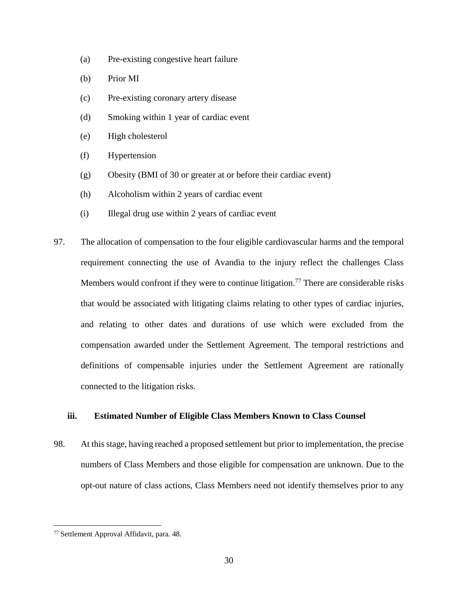- (a) Pre-existing congestive heart failure
- (b) Prior MI
- (c) Pre-existing coronary artery disease
- (d) Smoking within 1 year of cardiac event
- (e) High cholesterol
- (f) Hypertension
- (g) Obesity (BMI of 30 or greater at or before their cardiac event)
- (h) Alcoholism within 2 years of cardiac event
- (i) Illegal drug use within 2 years of cardiac event
- 97. The allocation of compensation to the four eligible cardiovascular harms and the temporal requirement connecting the use of Avandia to the injury reflect the challenges Class Members would confront if they were to continue litigation.<sup>77</sup> There are considerable risks that would be associated with litigating claims relating to other types of cardiac injuries, and relating to other dates and durations of use which were excluded from the compensation awarded under the Settlement Agreement. The temporal restrictions and definitions of compensable injuries under the Settlement Agreement are rationally connected to the litigation risks.

## <span id="page-30-0"></span>**iii. Estimated Number of Eligible Class Members Known to Class Counsel**

98. At this stage, having reached a proposed settlement but prior to implementation, the precise numbers of Class Members and those eligible for compensation are unknown. Due to the opt-out nature of class actions, Class Members need not identify themselves prior to any

<sup>77</sup> Settlement Approval Affidavit, para. 48.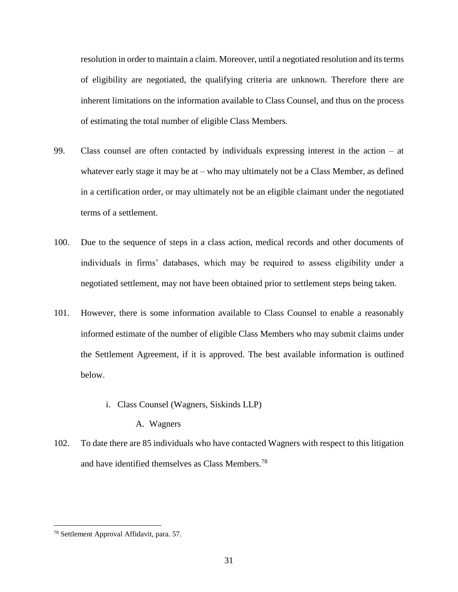resolution in order to maintain a claim. Moreover, until a negotiated resolution and its terms of eligibility are negotiated, the qualifying criteria are unknown. Therefore there are inherent limitations on the information available to Class Counsel, and thus on the process of estimating the total number of eligible Class Members.

- 99. Class counsel are often contacted by individuals expressing interest in the action at whatever early stage it may be at – who may ultimately not be a Class Member, as defined in a certification order, or may ultimately not be an eligible claimant under the negotiated terms of a settlement.
- 100. Due to the sequence of steps in a class action, medical records and other documents of individuals in firms' databases, which may be required to assess eligibility under a negotiated settlement, may not have been obtained prior to settlement steps being taken.
- 101. However, there is some information available to Class Counsel to enable a reasonably informed estimate of the number of eligible Class Members who may submit claims under the Settlement Agreement, if it is approved. The best available information is outlined below.

#### i. Class Counsel (Wagners, Siskinds LLP)

A. Wagners

<span id="page-31-1"></span><span id="page-31-0"></span>102. To date there are 85 individuals who have contacted Wagners with respect to this litigation and have identified themselves as Class Members.<sup>78</sup>

<sup>78</sup> Settlement Approval Affidavit, para. 57.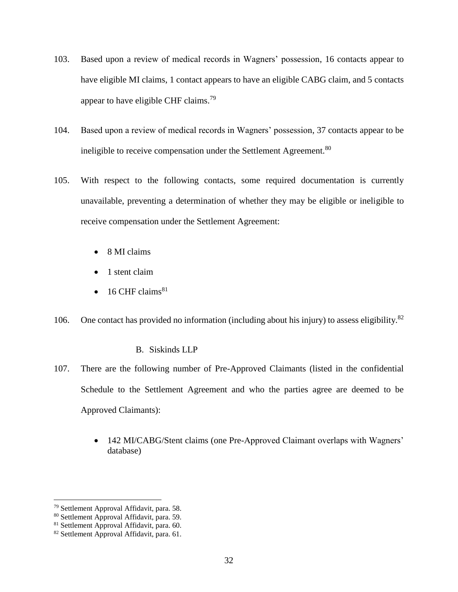- 103. Based upon a review of medical records in Wagners' possession, 16 contacts appear to have eligible MI claims, 1 contact appears to have an eligible CABG claim, and 5 contacts appear to have eligible CHF claims.<sup>79</sup>
- 104. Based upon a review of medical records in Wagners' possession, 37 contacts appear to be ineligible to receive compensation under the Settlement Agreement.<sup>80</sup>
- 105. With respect to the following contacts, some required documentation is currently unavailable, preventing a determination of whether they may be eligible or ineligible to receive compensation under the Settlement Agreement:
	- 8 MI claims
	- 1 stent claim
	- $\bullet$  16 CHF claims<sup>81</sup>
- 106. One contact has provided no information (including about his injury) to assess eligibility.<sup>82</sup>

# B. Siskinds LLP

- <span id="page-32-0"></span>107. There are the following number of Pre-Approved Claimants (listed in the confidential Schedule to the Settlement Agreement and who the parties agree are deemed to be Approved Claimants):
	- 142 MI/CABG/Stent claims (one Pre-Approved Claimant overlaps with Wagners' database)

<sup>&</sup>lt;sup>79</sup> Settlement Approval Affidavit, para. 58.

<sup>80</sup> Settlement Approval Affidavit, para. 59.

<sup>81</sup> Settlement Approval Affidavit, para. 60.

<sup>82</sup> Settlement Approval Affidavit, para. 61.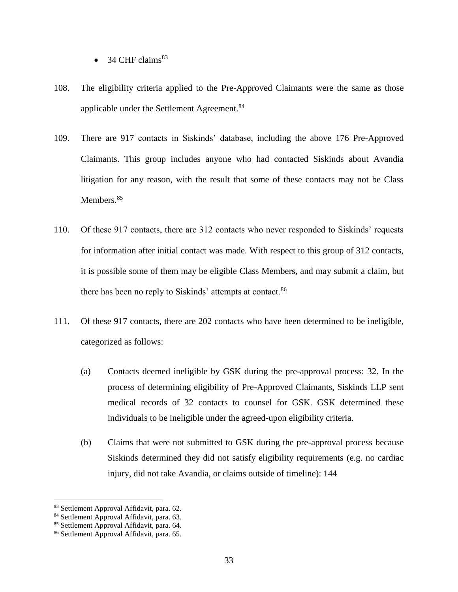- 34 CHF claims $^{83}$
- 108. The eligibility criteria applied to the Pre-Approved Claimants were the same as those applicable under the Settlement Agreement.<sup>84</sup>
- 109. There are 917 contacts in Siskinds' database, including the above 176 Pre-Approved Claimants. This group includes anyone who had contacted Siskinds about Avandia litigation for any reason, with the result that some of these contacts may not be Class Members.<sup>85</sup>
- 110. Of these 917 contacts, there are 312 contacts who never responded to Siskinds' requests for information after initial contact was made. With respect to this group of 312 contacts, it is possible some of them may be eligible Class Members, and may submit a claim, but there has been no reply to Siskinds' attempts at contact.<sup>86</sup>
- 111. Of these 917 contacts, there are 202 contacts who have been determined to be ineligible, categorized as follows:
	- (a) Contacts deemed ineligible by GSK during the pre-approval process: 32. In the process of determining eligibility of Pre-Approved Claimants, Siskinds LLP sent medical records of 32 contacts to counsel for GSK. GSK determined these individuals to be ineligible under the agreed-upon eligibility criteria.
	- (b) Claims that were not submitted to GSK during the pre-approval process because Siskinds determined they did not satisfy eligibility requirements (e.g. no cardiac injury, did not take Avandia, or claims outside of timeline): 144

<sup>83</sup> Settlement Approval Affidavit, para. 62.

<sup>&</sup>lt;sup>84</sup> Settlement Approval Affidavit, para. 63.

<sup>85</sup> Settlement Approval Affidavit, para. 64.

<sup>86</sup> Settlement Approval Affidavit, para. 65.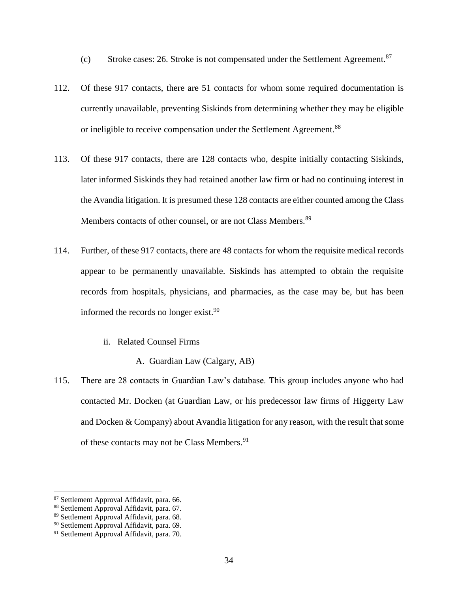(c) Stroke cases: 26. Stroke is not compensated under the Settlement Agreement.<sup>87</sup>

- 112. Of these 917 contacts, there are 51 contacts for whom some required documentation is currently unavailable, preventing Siskinds from determining whether they may be eligible or ineligible to receive compensation under the Settlement Agreement.<sup>88</sup>
- 113. Of these 917 contacts, there are 128 contacts who, despite initially contacting Siskinds, later informed Siskinds they had retained another law firm or had no continuing interest in the Avandia litigation. It is presumed these 128 contacts are either counted among the Class Members contacts of other counsel, or are not Class Members.<sup>89</sup>
- 114. Further, of these 917 contacts, there are 48 contacts for whom the requisite medical records appear to be permanently unavailable. Siskinds has attempted to obtain the requisite records from hospitals, physicians, and pharmacies, as the case may be, but has been informed the records no longer exist. $90$

## ii. Related Counsel Firms

A. Guardian Law (Calgary, AB)

<span id="page-34-1"></span><span id="page-34-0"></span>115. There are 28 contacts in Guardian Law's database. This group includes anyone who had contacted Mr. Docken (at Guardian Law, or his predecessor law firms of Higgerty Law and Docken & Company) about Avandia litigation for any reason, with the result that some of these contacts may not be Class Members.<sup>91</sup>

l

<sup>87</sup> Settlement Approval Affidavit, para. 66.

<sup>88</sup> Settlement Approval Affidavit, para. 67.

<sup>89</sup> Settlement Approval Affidavit, para. 68.

<sup>90</sup> Settlement Approval Affidavit, para. 69.

<sup>&</sup>lt;sup>91</sup> Settlement Approval Affidavit, para. 70.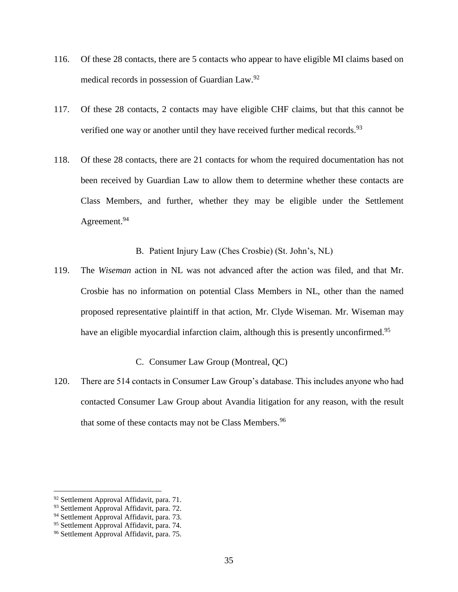- 116. Of these 28 contacts, there are 5 contacts who appear to have eligible MI claims based on medical records in possession of Guardian Law.<sup>92</sup>
- 117. Of these 28 contacts, 2 contacts may have eligible CHF claims, but that this cannot be verified one way or another until they have received further medical records.  $93$
- 118. Of these 28 contacts, there are 21 contacts for whom the required documentation has not been received by Guardian Law to allow them to determine whether these contacts are Class Members, and further, whether they may be eligible under the Settlement Agreement.<sup>94</sup>

B. Patient Injury Law (Ches Crosbie) (St. John's, NL)

<span id="page-35-0"></span>119. The *Wiseman* action in NL was not advanced after the action was filed, and that Mr. Crosbie has no information on potential Class Members in NL, other than the named proposed representative plaintiff in that action, Mr. Clyde Wiseman. Mr. Wiseman may have an eligible myocardial infarction claim, although this is presently unconfirmed.<sup>95</sup>

# C. Consumer Law Group (Montreal, QC)

<span id="page-35-1"></span>120. There are 514 contacts in Consumer Law Group's database. This includes anyone who had contacted Consumer Law Group about Avandia litigation for any reason, with the result that some of these contacts may not be Class Members.<sup>96</sup>

l

<sup>92</sup> Settlement Approval Affidavit, para. 71.

<sup>&</sup>lt;sup>93</sup> Settlement Approval Affidavit, para. 72.

<sup>&</sup>lt;sup>94</sup> Settlement Approval Affidavit, para. 73.

<sup>95</sup> Settlement Approval Affidavit, para. 74.

<sup>96</sup> Settlement Approval Affidavit, para. 75.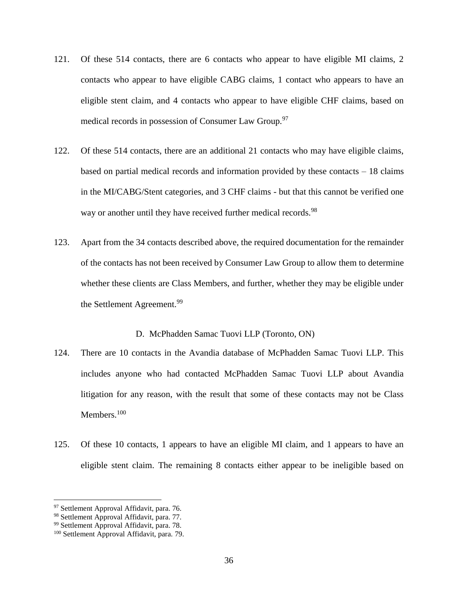- 121. Of these 514 contacts, there are 6 contacts who appear to have eligible MI claims, 2 contacts who appear to have eligible CABG claims, 1 contact who appears to have an eligible stent claim, and 4 contacts who appear to have eligible CHF claims, based on medical records in possession of Consumer Law Group.<sup>97</sup>
- 122. Of these 514 contacts, there are an additional 21 contacts who may have eligible claims, based on partial medical records and information provided by these contacts – 18 claims in the MI/CABG/Stent categories, and 3 CHF claims - but that this cannot be verified one way or another until they have received further medical records.<sup>98</sup>
- 123. Apart from the 34 contacts described above, the required documentation for the remainder of the contacts has not been received by Consumer Law Group to allow them to determine whether these clients are Class Members, and further, whether they may be eligible under the Settlement Agreement.<sup>99</sup>

#### D. McPhadden Samac Tuovi LLP (Toronto, ON)

- <span id="page-36-0"></span>124. There are 10 contacts in the Avandia database of McPhadden Samac Tuovi LLP. This includes anyone who had contacted McPhadden Samac Tuovi LLP about Avandia litigation for any reason, with the result that some of these contacts may not be Class Members.<sup>100</sup>
- 125. Of these 10 contacts, 1 appears to have an eligible MI claim, and 1 appears to have an eligible stent claim. The remaining 8 contacts either appear to be ineligible based on

<sup>&</sup>lt;sup>97</sup> Settlement Approval Affidavit, para. 76.

<sup>98</sup> Settlement Approval Affidavit, para. 77.

<sup>99</sup> Settlement Approval Affidavit, para. 78.

<sup>100</sup> Settlement Approval Affidavit, para. 79.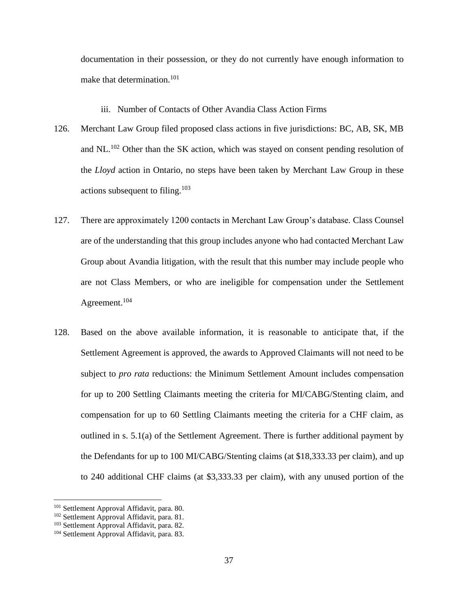documentation in their possession, or they do not currently have enough information to make that determination.<sup>101</sup>

- iii. Number of Contacts of Other Avandia Class Action Firms
- <span id="page-37-0"></span>126. Merchant Law Group filed proposed class actions in five jurisdictions: BC, AB, SK, MB and NL. $^{102}$  Other than the SK action, which was stayed on consent pending resolution of the *Lloyd* action in Ontario, no steps have been taken by Merchant Law Group in these actions subsequent to filing.<sup>103</sup>
- 127. There are approximately 1200 contacts in Merchant Law Group's database. Class Counsel are of the understanding that this group includes anyone who had contacted Merchant Law Group about Avandia litigation, with the result that this number may include people who are not Class Members, or who are ineligible for compensation under the Settlement Agreement. 104
- 128. Based on the above available information, it is reasonable to anticipate that, if the Settlement Agreement is approved, the awards to Approved Claimants will not need to be subject to *pro rata* reductions: the Minimum Settlement Amount includes compensation for up to 200 Settling Claimants meeting the criteria for MI/CABG/Stenting claim, and compensation for up to 60 Settling Claimants meeting the criteria for a CHF claim, as outlined in s. 5.1(a) of the Settlement Agreement. There is further additional payment by the Defendants for up to 100 MI/CABG/Stenting claims (at \$18,333.33 per claim), and up to 240 additional CHF claims (at \$3,333.33 per claim), with any unused portion of the

<sup>&</sup>lt;sup>101</sup> Settlement Approval Affidavit, para. 80.

<sup>102</sup> Settlement Approval Affidavit, para. 81.

<sup>103</sup> Settlement Approval Affidavit, para. 82.

<sup>104</sup> Settlement Approval Affidavit, para. 83.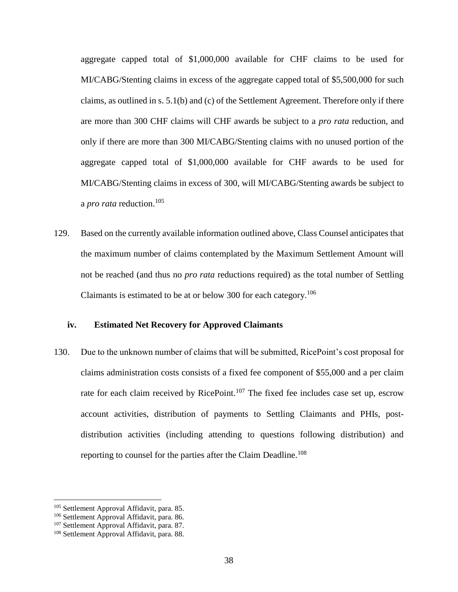aggregate capped total of \$1,000,000 available for CHF claims to be used for MI/CABG/Stenting claims in excess of the aggregate capped total of \$5,500,000 for such claims, as outlined in s. 5.1(b) and (c) of the Settlement Agreement. Therefore only if there are more than 300 CHF claims will CHF awards be subject to a *pro rata* reduction, and only if there are more than 300 MI/CABG/Stenting claims with no unused portion of the aggregate capped total of \$1,000,000 available for CHF awards to be used for MI/CABG/Stenting claims in excess of 300, will MI/CABG/Stenting awards be subject to a *pro rata* reduction.<sup>105</sup>

129. Based on the currently available information outlined above, Class Counsel anticipates that the maximum number of claims contemplated by the Maximum Settlement Amount will not be reached (and thus no *pro rata* reductions required) as the total number of Settling Claimants is estimated to be at or below 300 for each category.<sup>106</sup>

## <span id="page-38-0"></span>**iv. Estimated Net Recovery for Approved Claimants**

130. Due to the unknown number of claims that will be submitted, RicePoint's cost proposal for claims administration costs consists of a fixed fee component of \$55,000 and a per claim rate for each claim received by RicePoint.<sup>107</sup> The fixed fee includes case set up, escrow account activities, distribution of payments to Settling Claimants and PHIs, postdistribution activities (including attending to questions following distribution) and reporting to counsel for the parties after the Claim Deadline.<sup>108</sup>

<sup>105</sup> Settlement Approval Affidavit, para. 85.

<sup>106</sup> Settlement Approval Affidavit, para. 86.

<sup>&</sup>lt;sup>107</sup> Settlement Approval Affidavit, para. 87.

<sup>108</sup> Settlement Approval Affidavit, para. 88.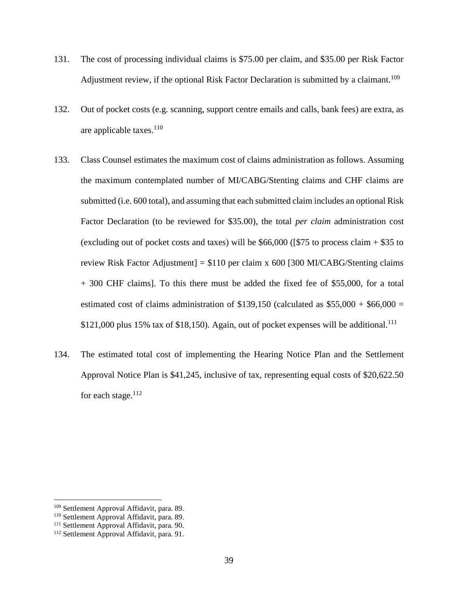- 131. The cost of processing individual claims is \$75.00 per claim, and \$35.00 per Risk Factor Adjustment review, if the optional Risk Factor Declaration is submitted by a claimant.<sup>109</sup>
- 132. Out of pocket costs (e.g. scanning, support centre emails and calls, bank fees) are extra, as are applicable taxes. $110$
- 133. Class Counsel estimates the maximum cost of claims administration as follows. Assuming the maximum contemplated number of MI/CABG/Stenting claims and CHF claims are submitted (i.e. 600 total), and assuming that each submitted claim includes an optional Risk Factor Declaration (to be reviewed for \$35.00), the total *per claim* administration cost (excluding out of pocket costs and taxes) will be  $$66,000$  ([\$75 to process claim  $+$  \$35 to review Risk Factor Adjustment] = \$110 per claim x 600 [300 MI/CABG/Stenting claims + 300 CHF claims]. To this there must be added the fixed fee of \$55,000, for a total estimated cost of claims administration of \$139,150 (calculated as  $$55,000 + $66,000 =$  $$121,000$  plus 15% tax of \$18,150). Again, out of pocket expenses will be additional.<sup>111</sup>
- 134. The estimated total cost of implementing the Hearing Notice Plan and the Settlement Approval Notice Plan is \$41,245, inclusive of tax, representing equal costs of \$20,622.50 for each stage. $112$

<sup>109</sup> Settlement Approval Affidavit, para. 89.

<sup>110</sup> Settlement Approval Affidavit, para. 89.

<sup>&</sup>lt;sup>111</sup> Settlement Approval Affidavit, para. 90.

<sup>112</sup> Settlement Approval Affidavit, para. 91.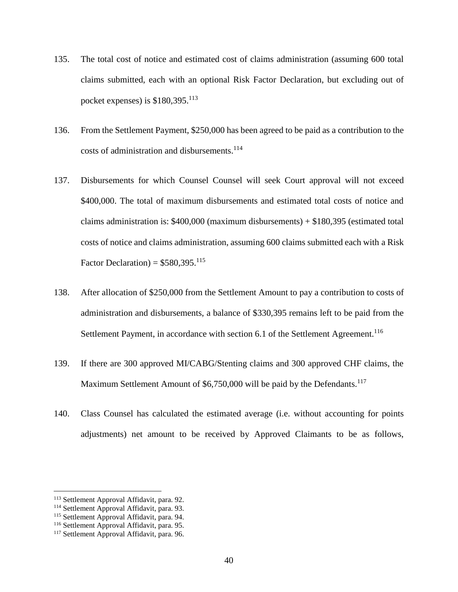- 135. The total cost of notice and estimated cost of claims administration (assuming 600 total claims submitted, each with an optional Risk Factor Declaration, but excluding out of pocket expenses) is  $$180,395$ <sup>113</sup>
- 136. From the Settlement Payment, \$250,000 has been agreed to be paid as a contribution to the costs of administration and disbursements.<sup>114</sup>
- 137. Disbursements for which Counsel Counsel will seek Court approval will not exceed \$400,000. The total of maximum disbursements and estimated total costs of notice and claims administration is: \$400,000 (maximum disbursements) + \$180,395 (estimated total costs of notice and claims administration, assuming 600 claims submitted each with a Risk Factor Declaration) =  $$580,395$ <sup>115</sup>
- 138. After allocation of \$250,000 from the Settlement Amount to pay a contribution to costs of administration and disbursements, a balance of \$330,395 remains left to be paid from the Settlement Payment, in accordance with section 6.1 of the Settlement Agreement.<sup>116</sup>
- 139. If there are 300 approved MI/CABG/Stenting claims and 300 approved CHF claims, the Maximum Settlement Amount of \$6,750,000 will be paid by the Defendants.<sup>117</sup>
- 140. Class Counsel has calculated the estimated average (i.e. without accounting for points adjustments) net amount to be received by Approved Claimants to be as follows,

l

<sup>113</sup> Settlement Approval Affidavit, para. 92.

<sup>&</sup>lt;sup>114</sup> Settlement Approval Affidavit, para. 93.

<sup>115</sup> Settlement Approval Affidavit, para. 94.

<sup>&</sup>lt;sup>116</sup> Settlement Approval Affidavit, para. 95.

<sup>&</sup>lt;sup>117</sup> Settlement Approval Affidavit, para. 96.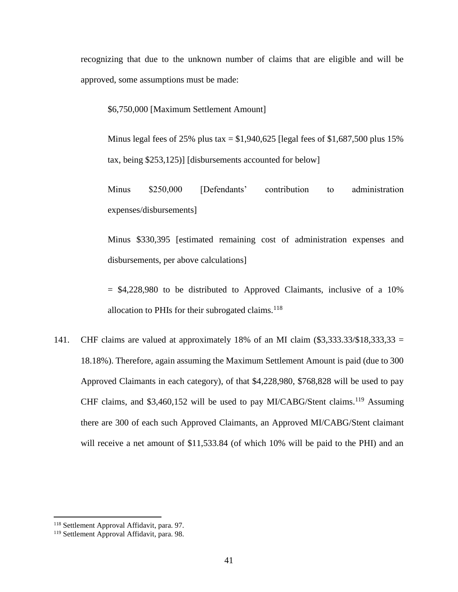recognizing that due to the unknown number of claims that are eligible and will be approved, some assumptions must be made:

\$6,750,000 [Maximum Settlement Amount]

Minus legal fees of 25% plus tax =  $$1,940,625$  [legal fees of  $$1,687,500$  plus 15% tax, being \$253,125)] [disbursements accounted for below]

Minus \$250,000 [Defendants' contribution to administration expenses/disbursements]

Minus \$330,395 [estimated remaining cost of administration expenses and disbursements, per above calculations]

 $=$  \$4,228,980 to be distributed to Approved Claimants, inclusive of a 10% allocation to PHIs for their subrogated claims. $118$ 

141. CHF claims are valued at approximately 18% of an MI claim  $(\$3,333.33/\$18,333.33 =$ 18.18%). Therefore, again assuming the Maximum Settlement Amount is paid (due to 300 Approved Claimants in each category), of that \$4,228,980, \$768,828 will be used to pay CHF claims, and \$3,460,152 will be used to pay MI/CABG/Stent claims.<sup>119</sup> Assuming there are 300 of each such Approved Claimants, an Approved MI/CABG/Stent claimant will receive a net amount of \$11,533.84 (of which 10% will be paid to the PHI) and an

<sup>118</sup> Settlement Approval Affidavit, para. 97.

<sup>119</sup> Settlement Approval Affidavit, para. 98.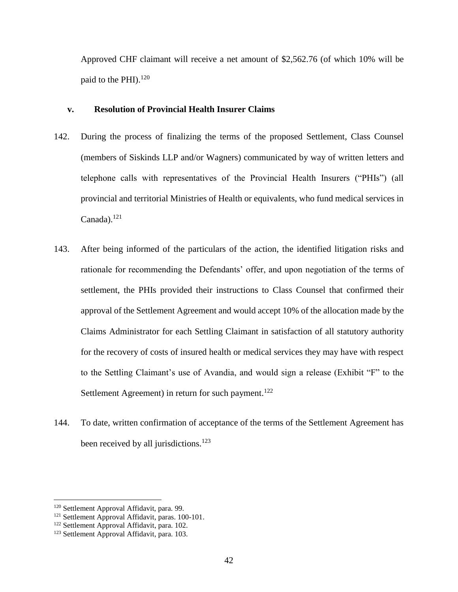Approved CHF claimant will receive a net amount of \$2,562.76 (of which 10% will be paid to the PHI). $^{120}$ 

#### <span id="page-42-0"></span>**v. Resolution of Provincial Health Insurer Claims**

- 142. During the process of finalizing the terms of the proposed Settlement, Class Counsel (members of Siskinds LLP and/or Wagners) communicated by way of written letters and telephone calls with representatives of the Provincial Health Insurers ("PHIs") (all provincial and territorial Ministries of Health or equivalents, who fund medical services in  $Canada).<sup>121</sup>$
- 143. After being informed of the particulars of the action, the identified litigation risks and rationale for recommending the Defendants' offer, and upon negotiation of the terms of settlement, the PHIs provided their instructions to Class Counsel that confirmed their approval of the Settlement Agreement and would accept 10% of the allocation made by the Claims Administrator for each Settling Claimant in satisfaction of all statutory authority for the recovery of costs of insured health or medical services they may have with respect to the Settling Claimant's use of Avandia, and would sign a release (Exhibit "F" to the Settlement Agreement) in return for such payment.<sup>122</sup>
- 144. To date, written confirmation of acceptance of the terms of the Settlement Agreement has been received by all jurisdictions.<sup>123</sup>

<sup>120</sup> Settlement Approval Affidavit, para. 99.

<sup>121</sup> Settlement Approval Affidavit, paras. 100-101.

<sup>122</sup> Settlement Approval Affidavit, para. 102.

<sup>123</sup> Settlement Approval Affidavit, para. 103.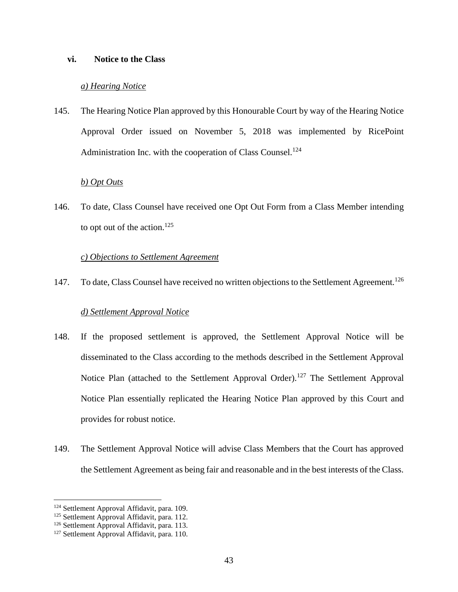#### <span id="page-43-1"></span><span id="page-43-0"></span>**vi. Notice to the Class**

#### *a) Hearing Notice*

145. The Hearing Notice Plan approved by this Honourable Court by way of the Hearing Notice Approval Order issued on November 5, 2018 was implemented by RicePoint Administration Inc. with the cooperation of Class Counsel.<sup>124</sup>

#### *b) Opt Outs*

<span id="page-43-2"></span>146. To date, Class Counsel have received one Opt Out Form from a Class Member intending to opt out of the action. $125$ 

## *c) Objections to Settlement Agreement*

<span id="page-43-3"></span>147. To date, Class Counsel have received no written objections to the Settlement Agreement.<sup>126</sup>

#### *d) Settlement Approval Notice*

- <span id="page-43-4"></span>148. If the proposed settlement is approved, the Settlement Approval Notice will be disseminated to the Class according to the methods described in the Settlement Approval Notice Plan (attached to the Settlement Approval Order).<sup>127</sup> The Settlement Approval Notice Plan essentially replicated the Hearing Notice Plan approved by this Court and provides for robust notice.
- 149. The Settlement Approval Notice will advise Class Members that the Court has approved the Settlement Agreement as being fair and reasonable and in the best interests of the Class.

<sup>&</sup>lt;sup>124</sup> Settlement Approval Affidavit, para. 109.

<sup>&</sup>lt;sup>125</sup> Settlement Approval Affidavit, para. 112.

<sup>126</sup> Settlement Approval Affidavit, para. 113.

<sup>&</sup>lt;sup>127</sup> Settlement Approval Affidavit, para. 110.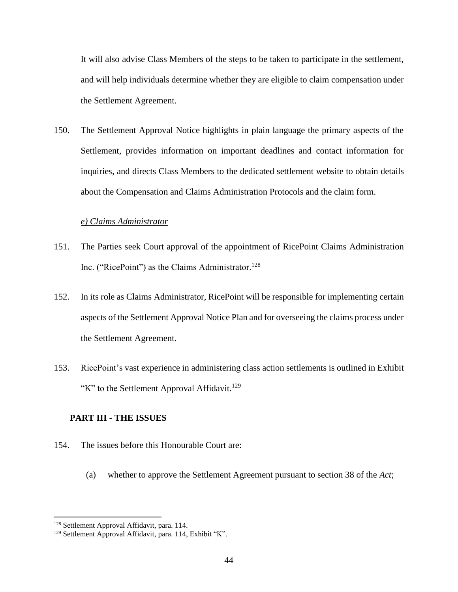It will also advise Class Members of the steps to be taken to participate in the settlement, and will help individuals determine whether they are eligible to claim compensation under the Settlement Agreement.

150. The Settlement Approval Notice highlights in plain language the primary aspects of the Settlement, provides information on important deadlines and contact information for inquiries, and directs Class Members to the dedicated settlement website to obtain details about the Compensation and Claims Administration Protocols and the claim form.

#### *e) Claims Administrator*

- <span id="page-44-0"></span>151. The Parties seek Court approval of the appointment of RicePoint Claims Administration Inc. ("RicePoint") as the Claims Administrator.<sup>128</sup>
- 152. In its role as Claims Administrator, RicePoint will be responsible for implementing certain aspects of the Settlement Approval Notice Plan and for overseeing the claims process under the Settlement Agreement.
- 153. RicePoint's vast experience in administering class action settlements is outlined in Exhibit "K" to the Settlement Approval Affidavit.<sup>129</sup>

# <span id="page-44-1"></span>**PART III - THE ISSUES**

- 154. The issues before this Honourable Court are:
	- (a) whether to approve the Settlement Agreement pursuant to section 38 of the *Act*;

<sup>128</sup> Settlement Approval Affidavit, para. 114.

<sup>129</sup> Settlement Approval Affidavit, para. 114, Exhibit "K".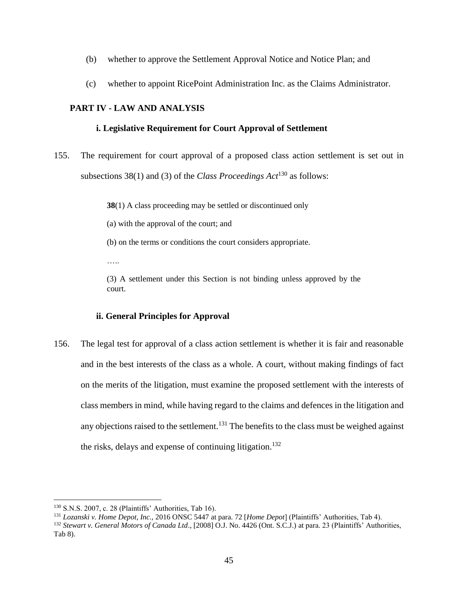- (b) whether to approve the Settlement Approval Notice and Notice Plan; and
- (c) whether to appoint RicePoint Administration Inc. as the Claims Administrator.

# <span id="page-45-1"></span><span id="page-45-0"></span>**PART IV - LAW AND ANALYSIS**

# **i. Legislative Requirement for Court Approval of Settlement**

155. The requirement for court approval of a proposed class action settlement is set out in subsections 38(1) and (3) of the *Class Proceedings Act*<sup>130</sup> as follows:

**38**(1) A class proceeding may be settled or discontinued only

(a) with the approval of the court; and

(b) on the terms or conditions the court considers appropriate.

……

(3) A settlement under this Section is not binding unless approved by the court.

# **ii. General Principles for Approval**

<span id="page-45-2"></span>156. The legal test for approval of a class action settlement is whether it is fair and reasonable and in the best interests of the class as a whole. A court, without making findings of fact on the merits of the litigation, must examine the proposed settlement with the interests of class members in mind, while having regard to the claims and defences in the litigation and any objections raised to the settlement.<sup>131</sup> The benefits to the class must be weighed against the risks, delays and expense of continuing litigation.<sup>132</sup>

<sup>130</sup> S.N.S. 2007, c. 28 (Plaintiffs' Authorities, Tab 16).

<sup>131</sup> *Lozanski v. Home Depot, Inc.,* 2016 ONSC 5447 at para. 72 [*Home Depot*] (Plaintiffs' Authorities, Tab 4).

<sup>132</sup> *Stewart v. General Motors of Canada Ltd*., [2008] O.J. No. 4426 (Ont. S.C.J.) at para. 23 (Plaintiffs' Authorities, Tab 8).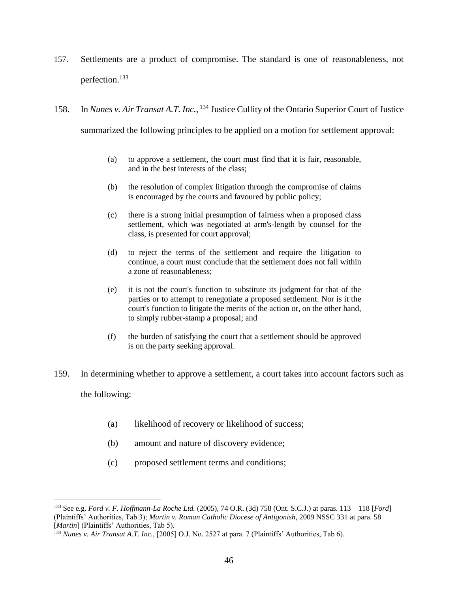- 157. Settlements are a product of compromise. The standard is one of reasonableness, not perfection.<sup>133</sup>
- 158. In *Nunes v. Air Transat A.T. Inc.*, <sup>134</sup> Justice Cullity of the Ontario Superior Court of Justice summarized the following principles to be applied on a motion for settlement approval:
	- (a) to approve a settlement, the court must find that it is fair, reasonable, and in the best interests of the class;
	- (b) the resolution of complex litigation through the compromise of claims is encouraged by the courts and favoured by public policy;
	- (c) there is a strong initial presumption of fairness when a proposed class settlement, which was negotiated at arm's-length by counsel for the class, is presented for court approval;
	- (d) to reject the terms of the settlement and require the litigation to continue, a court must conclude that the settlement does not fall within a zone of reasonableness;
	- (e) it is not the court's function to substitute its judgment for that of the parties or to attempt to renegotiate a proposed settlement. Nor is it the court's function to litigate the merits of the action or, on the other hand, to simply rubber-stamp a proposal; and
	- (f) the burden of satisfying the court that a settlement should be approved is on the party seeking approval.
- 159. In determining whether to approve a settlement, a court takes into account factors such as the following:
	-

- (a) likelihood of recovery or likelihood of success;
- (b) amount and nature of discovery evidence;
- (c) proposed settlement terms and conditions;

<sup>133</sup> See e.g. *Ford v. F. Hoffmann-La Roche Ltd.* (2005), 74 O.R. (3d) 758 (Ont. S.C.J.) at paras. 113 – 118 [*Ford*] (Plaintiffs' Authorities, Tab 3); *Martin v. Roman Catholic Diocese of Antigonish*, 2009 NSSC 331 at para. 58 [Martin] (Plaintiffs' Authorities, Tab 5).

<sup>134</sup> *Nunes v. Air Transat A.T. Inc.*, [2005] O.J. No. 2527 at para. 7 (Plaintiffs' Authorities, Tab 6).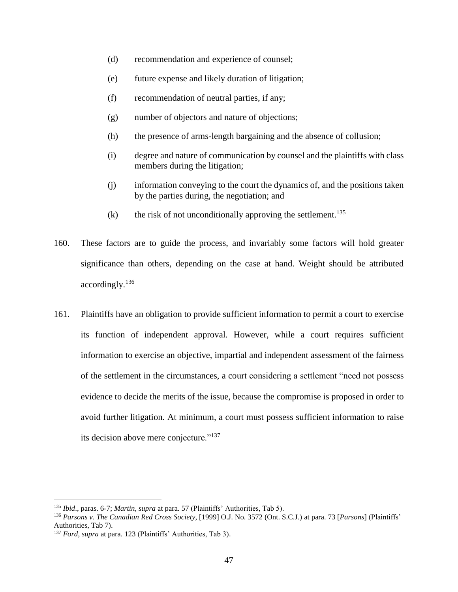- (d) recommendation and experience of counsel;
- (e) future expense and likely duration of litigation;
- (f) recommendation of neutral parties, if any;
- (g) number of objectors and nature of objections;
- (h) the presence of arms-length bargaining and the absence of collusion;
- (i) degree and nature of communication by counsel and the plaintiffs with class members during the litigation;
- (j) information conveying to the court the dynamics of, and the positions taken by the parties during, the negotiation; and
- (k) the risk of not unconditionally approving the settlement.<sup>135</sup>
- 160. These factors are to guide the process, and invariably some factors will hold greater significance than others, depending on the case at hand. Weight should be attributed accordingly.<sup>136</sup>
- 161. Plaintiffs have an obligation to provide sufficient information to permit a court to exercise its function of independent approval. However, while a court requires sufficient information to exercise an objective, impartial and independent assessment of the fairness of the settlement in the circumstances, a court considering a settlement "need not possess evidence to decide the merits of the issue, because the compromise is proposed in order to avoid further litigation. At minimum, a court must possess sufficient information to raise its decision above mere conjecture."<sup>137</sup>

<sup>135</sup> *Ibid*., paras. 6-7; *Martin*, *supra* at para. 57 (Plaintiffs' Authorities, Tab 5).

<sup>136</sup> *Parsons v. The Canadian Red Cross Society*, [1999] O.J. No. 3572 (Ont. S.C.J.) at para. 73 [*Parsons*] (Plaintiffs' Authorities, Tab 7).

<sup>137</sup> *Ford*, *supra* at para. 123 (Plaintiffs' Authorities, Tab 3).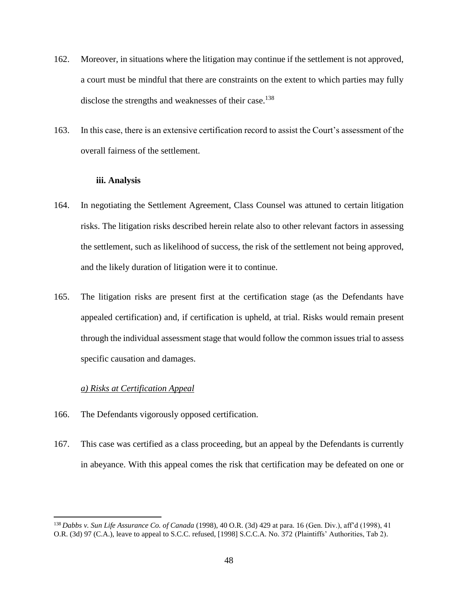- 162. Moreover, in situations where the litigation may continue if the settlement is not approved, a court must be mindful that there are constraints on the extent to which parties may fully disclose the strengths and weaknesses of their case.<sup>138</sup>
- 163. In this case, there is an extensive certification record to assist the Court's assessment of the overall fairness of the settlement.

#### **iii. Analysis**

- <span id="page-48-0"></span>164. In negotiating the Settlement Agreement, Class Counsel was attuned to certain litigation risks. The litigation risks described herein relate also to other relevant factors in assessing the settlement, such as likelihood of success, the risk of the settlement not being approved, and the likely duration of litigation were it to continue.
- 165. The litigation risks are present first at the certification stage (as the Defendants have appealed certification) and, if certification is upheld, at trial. Risks would remain present through the individual assessment stage that would follow the common issues trial to assess specific causation and damages.

### *a) Risks at Certification Appeal*

- <span id="page-48-1"></span>166. The Defendants vigorously opposed certification.
- 167. This case was certified as a class proceeding, but an appeal by the Defendants is currently in abeyance. With this appeal comes the risk that certification may be defeated on one or

<sup>138</sup> *Dabbs v. Sun Life Assurance Co. of Canada* (1998), 40 O.R. (3d) 429 at para. 16 (Gen. Div.), aff'd (1998), 41 O.R. (3d) 97 (C.A.), leave to appeal to S.C.C. refused, [1998] S.C.C.A. No. 372 (Plaintiffs' Authorities, Tab 2).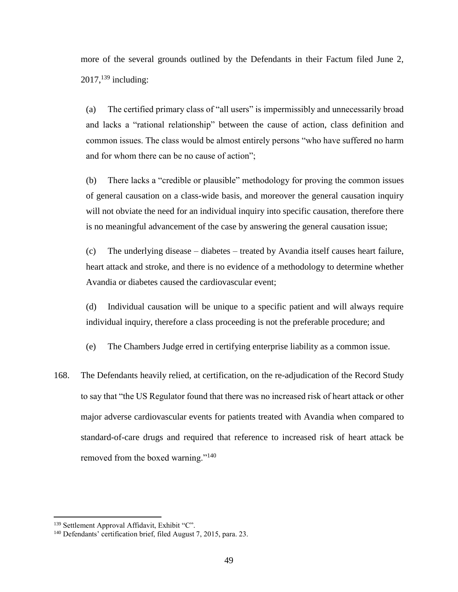more of the several grounds outlined by the Defendants in their Factum filed June 2,  $2017$ ,  $^{139}$  including:

(a) The certified primary class of "all users" is impermissibly and unnecessarily broad and lacks a "rational relationship" between the cause of action, class definition and common issues. The class would be almost entirely persons "who have suffered no harm and for whom there can be no cause of action";

(b) There lacks a "credible or plausible" methodology for proving the common issues of general causation on a class-wide basis, and moreover the general causation inquiry will not obviate the need for an individual inquiry into specific causation, therefore there is no meaningful advancement of the case by answering the general causation issue;

(c) The underlying disease – diabetes – treated by Avandia itself causes heart failure, heart attack and stroke, and there is no evidence of a methodology to determine whether Avandia or diabetes caused the cardiovascular event;

(d) Individual causation will be unique to a specific patient and will always require individual inquiry, therefore a class proceeding is not the preferable procedure; and

(e) The Chambers Judge erred in certifying enterprise liability as a common issue.

168. The Defendants heavily relied, at certification, on the re-adjudication of the Record Study to say that "the US Regulator found that there was no increased risk of heart attack or other major adverse cardiovascular events for patients treated with Avandia when compared to standard-of-care drugs and required that reference to increased risk of heart attack be removed from the boxed warning."<sup>140</sup>

<sup>&</sup>lt;sup>139</sup> Settlement Approval Affidavit, Exhibit "C".

<sup>140</sup> Defendants' certification brief, filed August 7, 2015, para. 23.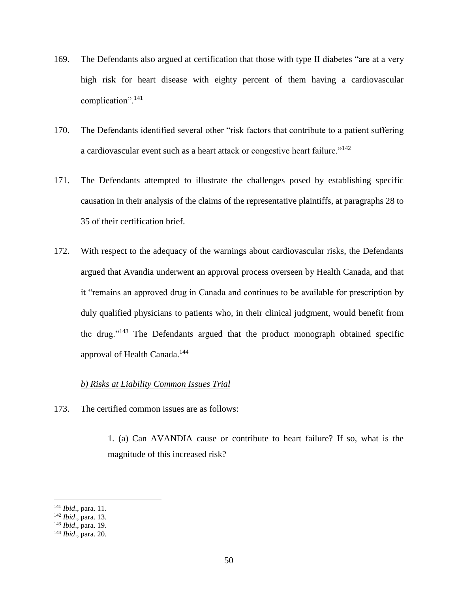- 169. The Defendants also argued at certification that those with type II diabetes "are at a very high risk for heart disease with eighty percent of them having a cardiovascular complication".<sup>141</sup>
- 170. The Defendants identified several other "risk factors that contribute to a patient suffering a cardiovascular event such as a heart attack or congestive heart failure."<sup>142</sup>
- 171. The Defendants attempted to illustrate the challenges posed by establishing specific causation in their analysis of the claims of the representative plaintiffs, at paragraphs 28 to 35 of their certification brief.
- 172. With respect to the adequacy of the warnings about cardiovascular risks, the Defendants argued that Avandia underwent an approval process overseen by Health Canada, and that it "remains an approved drug in Canada and continues to be available for prescription by duly qualified physicians to patients who, in their clinical judgment, would benefit from the drug." $143$  The Defendants argued that the product monograph obtained specific approval of Health Canada.<sup>144</sup>

#### *b) Risks at Liability Common Issues Trial*

<span id="page-50-0"></span>173. The certified common issues are as follows:

1. (a) Can AVANDIA cause or contribute to heart failure? If so, what is the magnitude of this increased risk?

<sup>141</sup> *Ibid*., para. 11.

<sup>142</sup> *Ibid*., para. 13.

<sup>143</sup> *Ibid*., para. 19.

<sup>144</sup> *Ibid*., para. 20.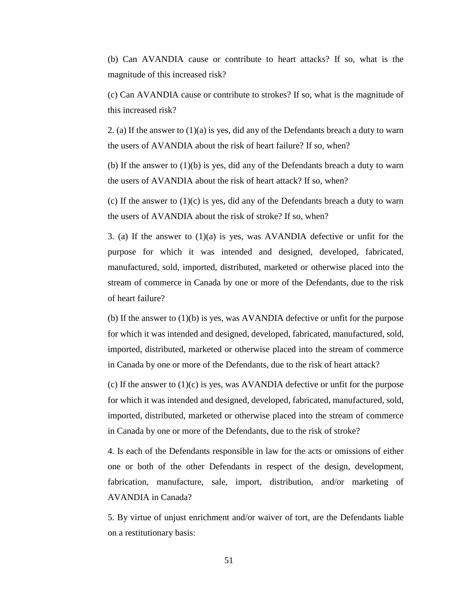(b) Can AVANDIA cause or contribute to heart attacks? If so, what is the magnitude of this increased risk?

(c) Can AVANDIA cause or contribute to strokes? If so, what is the magnitude of this increased risk?

2. (a) If the answer to  $(1)(a)$  is yes, did any of the Defendants breach a duty to warn the users of AVANDIA about the risk of heart failure? If so, when?

(b) If the answer to  $(1)(b)$  is yes, did any of the Defendants breach a duty to warn the users of AVANDIA about the risk of heart attack? If so, when?

(c) If the answer to  $(1)(c)$  is yes, did any of the Defendants breach a duty to warn the users of AVANDIA about the risk of stroke? If so, when?

3. (a) If the answer to  $(1)(a)$  is yes, was AVANDIA defective or unfit for the purpose for which it was intended and designed, developed, fabricated, manufactured, sold, imported, distributed, marketed or otherwise placed into the stream of commerce in Canada by one or more of the Defendants, due to the risk of heart failure?

(b) If the answer to (1)(b) is yes, was AVANDIA defective or unfit for the purpose for which it was intended and designed, developed, fabricated, manufactured, sold, imported, distributed, marketed or otherwise placed into the stream of commerce in Canada by one or more of the Defendants, due to the risk of heart attack?

(c) If the answer to  $(1)(c)$  is yes, was AVANDIA defective or unfit for the purpose for which it was intended and designed, developed, fabricated, manufactured, sold, imported, distributed, marketed or otherwise placed into the stream of commerce in Canada by one or more of the Defendants, due to the risk of stroke?

4. Is each of the Defendants responsible in law for the acts or omissions of either one or both of the other Defendants in respect of the design, development, fabrication, manufacture, sale, import, distribution, and/or marketing of AVANDIA in Canada?

5. By virtue of unjust enrichment and/or waiver of tort, are the Defendants liable on a restitutionary basis: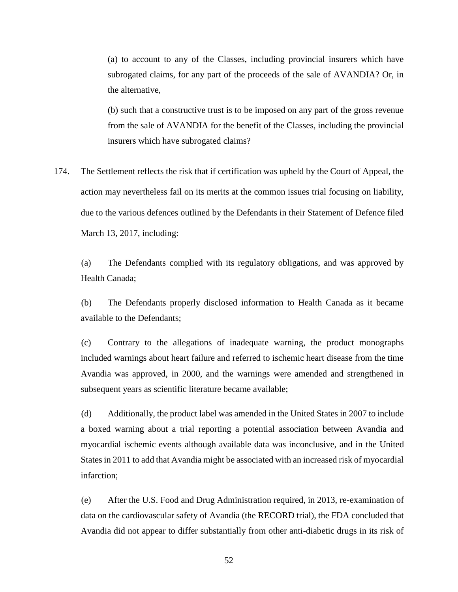(a) to account to any of the Classes, including provincial insurers which have subrogated claims, for any part of the proceeds of the sale of AVANDIA? Or, in the alternative,

(b) such that a constructive trust is to be imposed on any part of the gross revenue from the sale of AVANDIA for the benefit of the Classes, including the provincial insurers which have subrogated claims?

174. The Settlement reflects the risk that if certification was upheld by the Court of Appeal, the action may nevertheless fail on its merits at the common issues trial focusing on liability, due to the various defences outlined by the Defendants in their Statement of Defence filed March 13, 2017, including:

(a) The Defendants complied with its regulatory obligations, and was approved by Health Canada;

(b) The Defendants properly disclosed information to Health Canada as it became available to the Defendants;

(c) Contrary to the allegations of inadequate warning, the product monographs included warnings about heart failure and referred to ischemic heart disease from the time Avandia was approved, in 2000, and the warnings were amended and strengthened in subsequent years as scientific literature became available;

(d) Additionally, the product label was amended in the United States in 2007 to include a boxed warning about a trial reporting a potential association between Avandia and myocardial ischemic events although available data was inconclusive, and in the United States in 2011 to add that Avandia might be associated with an increased risk of myocardial infarction;

(e) After the U.S. Food and Drug Administration required, in 2013, re-examination of data on the cardiovascular safety of Avandia (the RECORD trial), the FDA concluded that Avandia did not appear to differ substantially from other anti-diabetic drugs in its risk of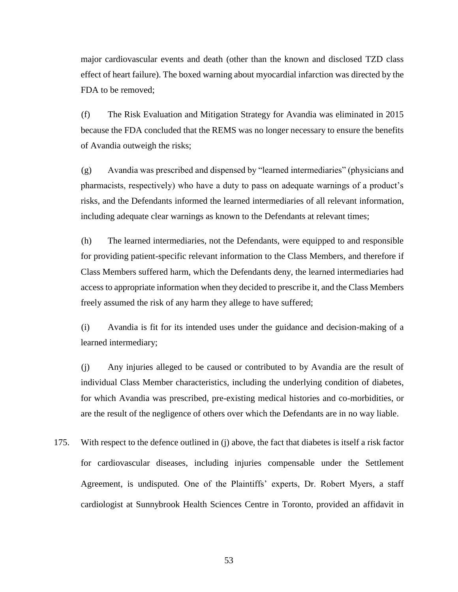major cardiovascular events and death (other than the known and disclosed TZD class effect of heart failure). The boxed warning about myocardial infarction was directed by the FDA to be removed;

(f) The Risk Evaluation and Mitigation Strategy for Avandia was eliminated in 2015 because the FDA concluded that the REMS was no longer necessary to ensure the benefits of Avandia outweigh the risks;

(g) Avandia was prescribed and dispensed by "learned intermediaries" (physicians and pharmacists, respectively) who have a duty to pass on adequate warnings of a product's risks, and the Defendants informed the learned intermediaries of all relevant information, including adequate clear warnings as known to the Defendants at relevant times;

(h) The learned intermediaries, not the Defendants, were equipped to and responsible for providing patient-specific relevant information to the Class Members, and therefore if Class Members suffered harm, which the Defendants deny, the learned intermediaries had access to appropriate information when they decided to prescribe it, and the Class Members freely assumed the risk of any harm they allege to have suffered;

(i) Avandia is fit for its intended uses under the guidance and decision-making of a learned intermediary;

(j) Any injuries alleged to be caused or contributed to by Avandia are the result of individual Class Member characteristics, including the underlying condition of diabetes, for which Avandia was prescribed, pre-existing medical histories and co-morbidities, or are the result of the negligence of others over which the Defendants are in no way liable.

175. With respect to the defence outlined in (j) above, the fact that diabetes is itself a risk factor for cardiovascular diseases, including injuries compensable under the Settlement Agreement, is undisputed. One of the Plaintiffs' experts, Dr. Robert Myers, a staff cardiologist at Sunnybrook Health Sciences Centre in Toronto, provided an affidavit in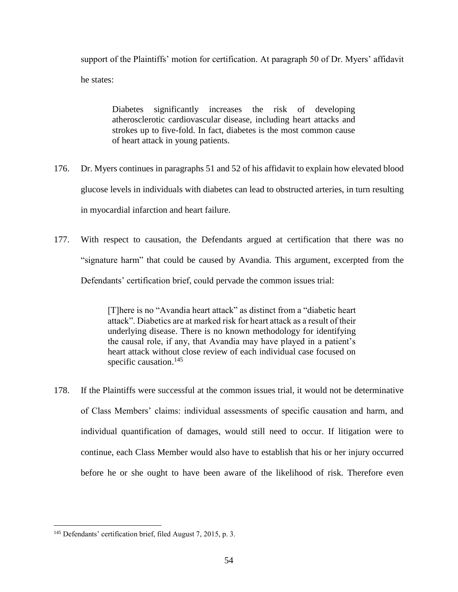support of the Plaintiffs' motion for certification. At paragraph 50 of Dr. Myers' affidavit he states:

Diabetes significantly increases the risk of developing atherosclerotic cardiovascular disease, including heart attacks and strokes up to five-fold. In fact, diabetes is the most common cause of heart attack in young patients.

- 176. Dr. Myers continues in paragraphs 51 and 52 of his affidavit to explain how elevated blood glucose levels in individuals with diabetes can lead to obstructed arteries, in turn resulting in myocardial infarction and heart failure.
- 177. With respect to causation, the Defendants argued at certification that there was no "signature harm" that could be caused by Avandia. This argument, excerpted from the Defendants' certification brief, could pervade the common issues trial:

[T]here is no "Avandia heart attack" as distinct from a "diabetic heart attack". Diabetics are at marked risk for heart attack as a result of their underlying disease. There is no known methodology for identifying the causal role, if any, that Avandia may have played in a patient's heart attack without close review of each individual case focused on specific causation. $145$ 

178. If the Plaintiffs were successful at the common issues trial, it would not be determinative of Class Members' claims: individual assessments of specific causation and harm, and individual quantification of damages, would still need to occur. If litigation were to continue, each Class Member would also have to establish that his or her injury occurred before he or she ought to have been aware of the likelihood of risk. Therefore even

 $\overline{\phantom{a}}$ <sup>145</sup> Defendants' certification brief, filed August 7, 2015, p. 3.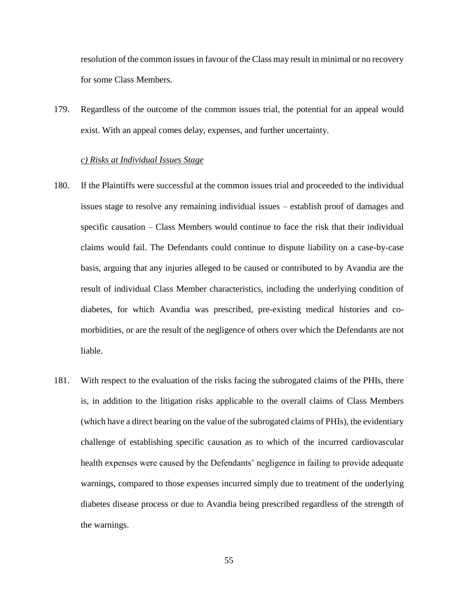resolution of the common issues in favour of the Class may result in minimal or no recovery for some Class Members.

179. Regardless of the outcome of the common issues trial, the potential for an appeal would exist. With an appeal comes delay, expenses, and further uncertainty.

#### *c) Risks at Individual Issues Stage*

- <span id="page-55-0"></span>180. If the Plaintiffs were successful at the common issues trial and proceeded to the individual issues stage to resolve any remaining individual issues – establish proof of damages and specific causation – Class Members would continue to face the risk that their individual claims would fail. The Defendants could continue to dispute liability on a case-by-case basis, arguing that any injuries alleged to be caused or contributed to by Avandia are the result of individual Class Member characteristics, including the underlying condition of diabetes, for which Avandia was prescribed, pre-existing medical histories and comorbidities, or are the result of the negligence of others over which the Defendants are not liable.
- 181. With respect to the evaluation of the risks facing the subrogated claims of the PHIs, there is, in addition to the litigation risks applicable to the overall claims of Class Members (which have a direct bearing on the value of the subrogated claims of PHIs), the evidentiary challenge of establishing specific causation as to which of the incurred cardiovascular health expenses were caused by the Defendants' negligence in failing to provide adequate warnings, compared to those expenses incurred simply due to treatment of the underlying diabetes disease process or due to Avandia being prescribed regardless of the strength of the warnings.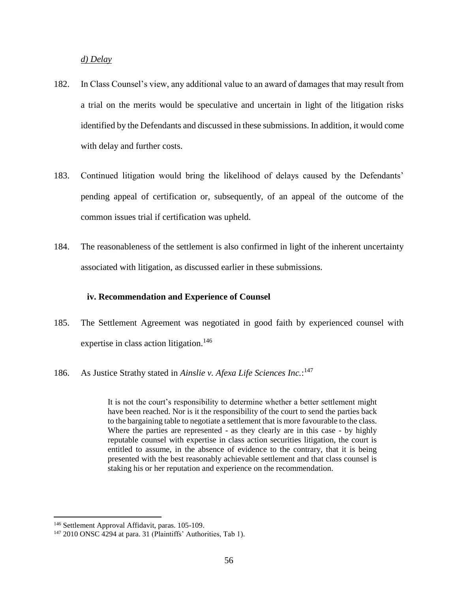*d) Delay*

- <span id="page-56-0"></span>182. In Class Counsel's view, any additional value to an award of damages that may result from a trial on the merits would be speculative and uncertain in light of the litigation risks identified by the Defendants and discussed in these submissions. In addition, it would come with delay and further costs.
- 183. Continued litigation would bring the likelihood of delays caused by the Defendants' pending appeal of certification or, subsequently, of an appeal of the outcome of the common issues trial if certification was upheld.
- 184. The reasonableness of the settlement is also confirmed in light of the inherent uncertainty associated with litigation, as discussed earlier in these submissions.

#### <span id="page-56-1"></span>**iv. Recommendation and Experience of Counsel**

- 185. The Settlement Agreement was negotiated in good faith by experienced counsel with expertise in class action litigation.<sup>146</sup>
- 186. As Justice Strathy stated in *Ainslie v. Afexa Life Sciences Inc.*: 147

It is not the court's responsibility to determine whether a better settlement might have been reached. Nor is it the responsibility of the court to send the parties back to the bargaining table to negotiate a settlement that is more favourable to the class. Where the parties are represented - as they clearly are in this case - by highly reputable counsel with expertise in class action securities litigation, the court is entitled to assume, in the absence of evidence to the contrary, that it is being presented with the best reasonably achievable settlement and that class counsel is staking his or her reputation and experience on the recommendation.

<sup>146</sup> Settlement Approval Affidavit, paras. 105-109.

<sup>&</sup>lt;sup>147</sup> 2010 ONSC 4294 at para. 31 (Plaintiffs' Authorities, Tab 1).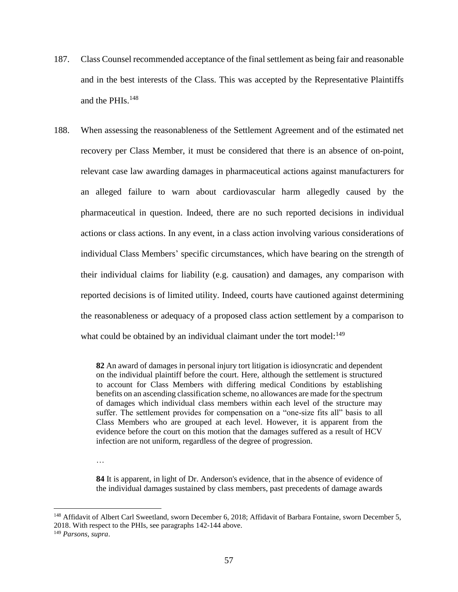- 187. Class Counsel recommended acceptance of the final settlement as being fair and reasonable and in the best interests of the Class. This was accepted by the Representative Plaintiffs and the PHIs.<sup>148</sup>
- 188. When assessing the reasonableness of the Settlement Agreement and of the estimated net recovery per Class Member, it must be considered that there is an absence of on-point, relevant case law awarding damages in pharmaceutical actions against manufacturers for an alleged failure to warn about cardiovascular harm allegedly caused by the pharmaceutical in question. Indeed, there are no such reported decisions in individual actions or class actions. In any event, in a class action involving various considerations of individual Class Members' specific circumstances, which have bearing on the strength of their individual claims for liability (e.g. causation) and damages, any comparison with reported decisions is of limited utility. Indeed, courts have cautioned against determining the reasonableness or adequacy of a proposed class action settlement by a comparison to what could be obtained by an individual claimant under the tort model:<sup>149</sup>

**82** An award of damages in personal injury tort litigation is idiosyncratic and dependent on the individual plaintiff before the court. Here, although the settlement is structured to account for Class Members with differing medical Conditions by establishing benefits on an ascending classification scheme, no allowances are made for the spectrum of damages which individual class members within each level of the structure may suffer. The settlement provides for compensation on a "one-size fits all" basis to all Class Members who are grouped at each level. However, it is apparent from the evidence before the court on this motion that the damages suffered as a result of HCV infection are not uniform, regardless of the degree of progression.

…

**84** It is apparent, in light of Dr. Anderson's evidence, that in the absence of evidence of the individual damages sustained by class members, past precedents of damage awards

<sup>&</sup>lt;sup>148</sup> Affidavit of Albert Carl Sweetland, sworn December 6, 2018; Affidavit of Barbara Fontaine, sworn December 5, 2018. With respect to the PHIs, see paragraphs 142-144 above.

<sup>149</sup> *Parsons, supra*.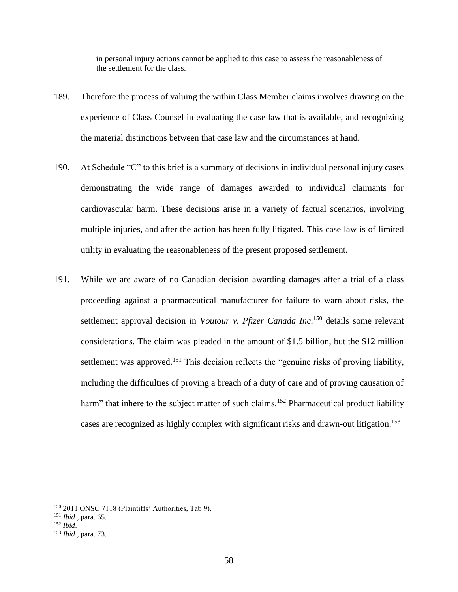in personal injury actions cannot be applied to this case to assess the reasonableness of the settlement for the class.

- 189. Therefore the process of valuing the within Class Member claims involves drawing on the experience of Class Counsel in evaluating the case law that is available, and recognizing the material distinctions between that case law and the circumstances at hand.
- 190. At Schedule "C" to this brief is a summary of decisions in individual personal injury cases demonstrating the wide range of damages awarded to individual claimants for cardiovascular harm. These decisions arise in a variety of factual scenarios, involving multiple injuries, and after the action has been fully litigated. This case law is of limited utility in evaluating the reasonableness of the present proposed settlement.
- 191. While we are aware of no Canadian decision awarding damages after a trial of a class proceeding against a pharmaceutical manufacturer for failure to warn about risks, the settlement approval decision in *Voutour v. Pfizer Canada Inc*. <sup>150</sup> details some relevant considerations. The claim was pleaded in the amount of \$1.5 billion, but the \$12 million settlement was approved.<sup>151</sup> This decision reflects the "genuine risks of proving liability, including the difficulties of proving a breach of a duty of care and of proving causation of harm" that inhere to the subject matter of such claims.<sup>152</sup> Pharmaceutical product liability cases are recognized as highly complex with significant risks and drawn-out litigation.<sup>153</sup>

<sup>150</sup> 2011 ONSC 7118 (Plaintiffs' Authorities, Tab 9).

<sup>151</sup> *Ibid*., para. 65.

<sup>152</sup> *Ibid*.

<sup>153</sup> *Ibid*., para. 73.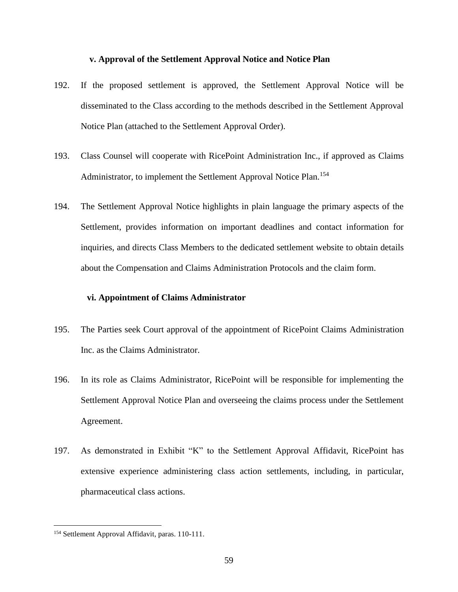#### <span id="page-59-0"></span>**v. Approval of the Settlement Approval Notice and Notice Plan**

- 192. If the proposed settlement is approved, the Settlement Approval Notice will be disseminated to the Class according to the methods described in the Settlement Approval Notice Plan (attached to the Settlement Approval Order).
- 193. Class Counsel will cooperate with RicePoint Administration Inc., if approved as Claims Administrator, to implement the Settlement Approval Notice Plan.<sup>154</sup>
- 194. The Settlement Approval Notice highlights in plain language the primary aspects of the Settlement, provides information on important deadlines and contact information for inquiries, and directs Class Members to the dedicated settlement website to obtain details about the Compensation and Claims Administration Protocols and the claim form.

#### <span id="page-59-1"></span>**vi. Appointment of Claims Administrator**

- 195. The Parties seek Court approval of the appointment of RicePoint Claims Administration Inc. as the Claims Administrator.
- 196. In its role as Claims Administrator, RicePoint will be responsible for implementing the Settlement Approval Notice Plan and overseeing the claims process under the Settlement Agreement.
- 197. As demonstrated in Exhibit "K" to the Settlement Approval Affidavit, RicePoint has extensive experience administering class action settlements, including, in particular, pharmaceutical class actions.

<sup>154</sup> Settlement Approval Affidavit, paras. 110-111.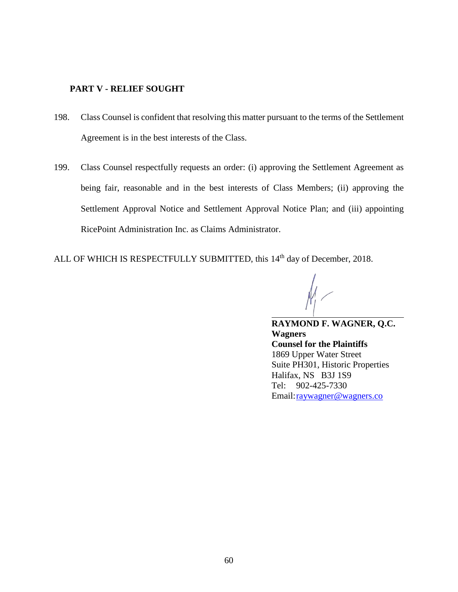## <span id="page-60-0"></span>**PART V - RELIEF SOUGHT**

- 198. Class Counsel is confident that resolving this matter pursuant to the terms of the Settlement Agreement is in the best interests of the Class.
- 199. Class Counsel respectfully requests an order: (i) approving the Settlement Agreement as being fair, reasonable and in the best interests of Class Members; (ii) approving the Settlement Approval Notice and Settlement Approval Notice Plan; and (iii) appointing RicePoint Administration Inc. as Claims Administrator.
- ALL OF WHICH IS RESPECTFULLY SUBMITTED, this 14<sup>th</sup> day of December, 2018.

 $\overline{a}$ 

**RAYMOND F. WAGNER, Q.C. Wagners Counsel for the Plaintiffs** 1869 Upper Water Street Suite PH301, Historic Properties Halifax, NS B3J 1S9 Tel: 902-425-7330 Email[:raywagner@wagners.co](mailto:raywagner@wagners.co)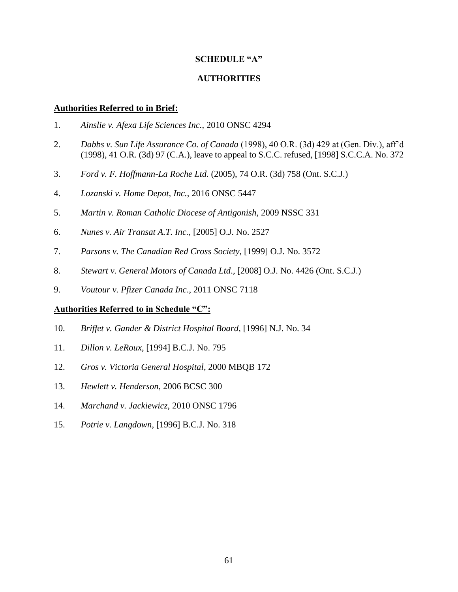## **SCHEDULE "A"**

## **AUTHORITIES**

#### **Authorities Referred to in Brief:**

- 1. *Ainslie v. Afexa Life Sciences Inc.*, 2010 ONSC 4294
- 2. *Dabbs v. Sun Life Assurance Co. of Canada* (1998), 40 O.R. (3d) 429 at (Gen. Div.), aff'd (1998), 41 O.R. (3d) 97 (C.A.), leave to appeal to S.C.C. refused, [1998] S.C.C.A. No. 372
- 3. *Ford v. F. Hoffmann-La Roche Ltd.* (2005), 74 O.R. (3d) 758 (Ont. S.C.J.)
- 4. *Lozanski v. Home Depot, Inc.*, 2016 ONSC 5447
- 5. *Martin v. Roman Catholic Diocese of Antigonish*, 2009 NSSC 331
- 6. *Nunes v. Air Transat A.T. Inc.*, [2005] O.J. No. 2527
- 7. *Parsons v. The Canadian Red Cross Society*, [1999] O.J. No. 3572
- 8. *Stewart v. General Motors of Canada Ltd*., [2008] O.J. No. 4426 (Ont. S.C.J.)
- 9. *Voutour v. Pfizer Canada Inc*., 2011 ONSC 7118

#### **Authorities Referred to in Schedule "C":**

- 10. *Briffet v. Gander & District Hospital Board*, [1996] N.J. No. 34
- 11. *Dillon v. LeRoux*, [1994] B.C.J. No. 795
- 12. *Gros v. Victoria General Hospital*, 2000 MBQB 172
- 13. *Hewlett v. Henderson*, 2006 BCSC 300
- 14. *Marchand v. Jackiewicz*, 2010 ONSC 1796
- 15. *Potrie v. Langdown*, [1996] B.C.J. No. 318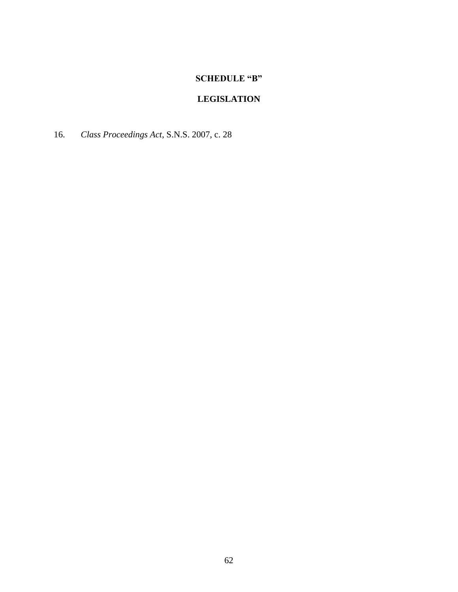# **SCHEDULE "B"**

# **LEGISLATION**

16. *Class Proceedings Act*, S.N.S. 2007, c. 28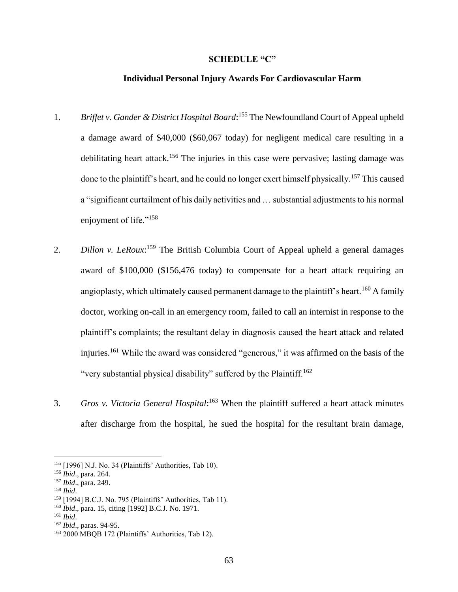#### **SCHEDULE "C"**

### **Individual Personal Injury Awards For Cardiovascular Harm**

- 1. *Briffet v. Gander & District Hospital Board*:<sup>155</sup> The Newfoundland Court of Appeal upheld a damage award of \$40,000 (\$60,067 today) for negligent medical care resulting in a debilitating heart attack.<sup>156</sup> The injuries in this case were pervasive; lasting damage was done to the plaintiff's heart, and he could no longer exert himself physically.<sup>157</sup> This caused a "significant curtailment of his daily activities and … substantial adjustments to his normal enjoyment of life."<sup>158</sup>
- 2. *Dillon v. LeRoux*:<sup>159</sup> The British Columbia Court of Appeal upheld a general damages award of \$100,000 (\$156,476 today) to compensate for a heart attack requiring an angioplasty, which ultimately caused permanent damage to the plaintiff's heart.<sup>160</sup> A family doctor, working on-call in an emergency room, failed to call an internist in response to the plaintiff's complaints; the resultant delay in diagnosis caused the heart attack and related injuries.<sup>161</sup> While the award was considered "generous," it was affirmed on the basis of the "very substantial physical disability" suffered by the Plaintiff.<sup>162</sup>
- 3. *Gros v. Victoria General Hospital*: <sup>163</sup> When the plaintiff suffered a heart attack minutes after discharge from the hospital, he sued the hospital for the resultant brain damage,

<sup>155</sup> [1996] N.J. No. 34 (Plaintiffs' Authorities, Tab 10).

<sup>156</sup> *Ibid*., para. 264.

<sup>157</sup> *Ibid*., para. 249.

<sup>158</sup> *Ibid*.

<sup>159</sup> [1994] B.C.J. No. 795 (Plaintiffs' Authorities, Tab 11).

<sup>160</sup> *Ibid*., para. 15, citing [1992] B.C.J. No. 1971.

<sup>161</sup> *Ibid*.

<sup>162</sup> *Ibid*., paras. 94-95.

<sup>163</sup> 2000 MBQB 172 (Plaintiffs' Authorities, Tab 12).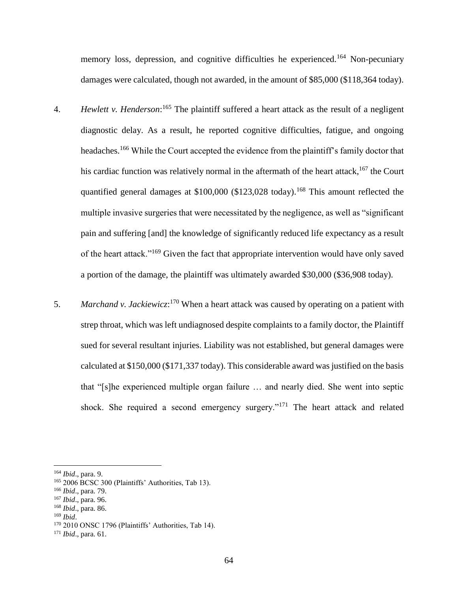memory loss, depression, and cognitive difficulties he experienced.<sup>164</sup> Non-pecuniary damages were calculated, though not awarded, in the amount of \$85,000 (\$118,364 today).

- 4. *Hewlett v. Henderson*: <sup>165</sup> The plaintiff suffered a heart attack as the result of a negligent diagnostic delay. As a result, he reported cognitive difficulties, fatigue, and ongoing headaches.<sup>166</sup> While the Court accepted the evidence from the plaintiff's family doctor that his cardiac function was relatively normal in the aftermath of the heart attack,  $167$  the Court quantified general damages at  $$100,000$  ( $$123,028$  today).<sup>168</sup> This amount reflected the multiple invasive surgeries that were necessitated by the negligence, as well as "significant pain and suffering [and] the knowledge of significantly reduced life expectancy as a result of the heart attack."<sup>169</sup> Given the fact that appropriate intervention would have only saved a portion of the damage, the plaintiff was ultimately awarded \$30,000 (\$36,908 today).
- 5. *Marchand v. Jackiewicz*: <sup>170</sup> When a heart attack was caused by operating on a patient with strep throat, which was left undiagnosed despite complaints to a family doctor, the Plaintiff sued for several resultant injuries. Liability was not established, but general damages were calculated at \$150,000 (\$171,337 today). This considerable award was justified on the basis that "[s]he experienced multiple organ failure … and nearly died. She went into septic shock. She required a second emergency surgery."<sup>171</sup> The heart attack and related

<sup>166</sup> *Ibid*., para. 79.

<sup>164</sup> *Ibid*., para. 9.

<sup>&</sup>lt;sup>165</sup> 2006 BCSC 300 (Plaintiffs' Authorities, Tab 13).

<sup>167</sup> *Ibid*., para. 96.

<sup>168</sup> *Ibid*., para. 86.

<sup>169</sup> *Ibid*.

<sup>170</sup> 2010 ONSC 1796 (Plaintiffs' Authorities, Tab 14).

<sup>171</sup> *Ibid*., para. 61.